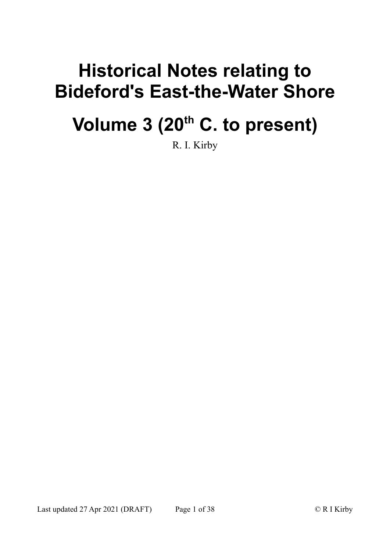# **Historical Notes relating to Bideford's East-the-Water Shore**

# **Volume 3 (20th C. to present)**

R. I. Kirby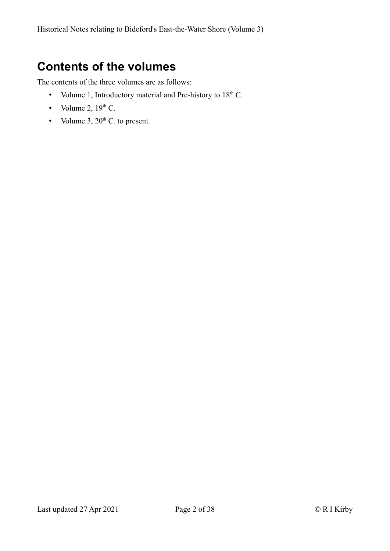# <span id="page-1-0"></span>**Contents of the volumes**

The contents of the three volumes are as follows:

- Volume 1, Introductory material and Pre-history to  $18<sup>th</sup>$  C.
- Volume 2,  $19<sup>th</sup>$  C.
- Volume  $3, 20<sup>th</sup>$  C. to present.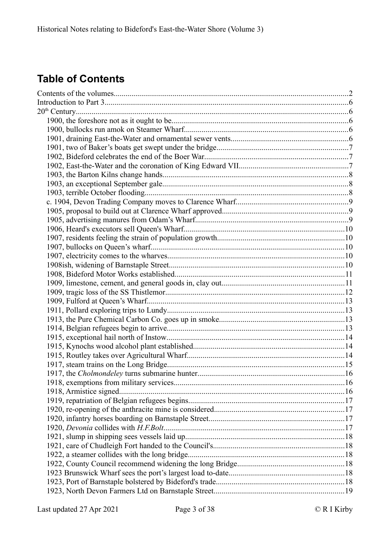# **Table of Contents**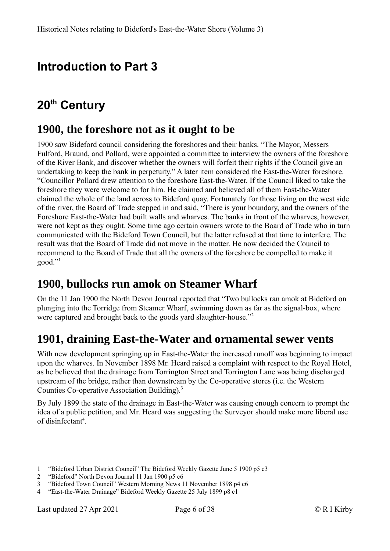# <span id="page-5-4"></span>**Introduction to Part 3**

# <span id="page-5-3"></span>**20th Century**

#### <span id="page-5-2"></span>**1900, the foreshore not as it ought to be**

1900 saw Bideford council considering the foreshores and their banks. "The Mayor, Messers Fulford, Braund, and Pollard, were appointed a committee to interview the owners of the foreshore of the River Bank, and discover whether the owners will forfeit their rights if the Council give an undertaking to keep the bank in perpetuity." A later item considered the East-the-Water foreshore. "Councillor Pollard drew attention to the foreshore East-the-Water. If the Council liked to take the foreshore they were welcome to for him. He claimed and believed all of them East-the-Water claimed the whole of the land across to Bideford quay. Fortunately for those living on the west side of the river, the Board of Trade stepped in and said, "There is your boundary, and the owners of the Foreshore East-the-Water had built walls and wharves. The banks in front of the wharves, however, were not kept as they ought. Some time ago certain owners wrote to the Board of Trade who in turn communicated with the Bideford Town Council, but the latter refused at that time to interfere. The result was that the Board of Trade did not move in the matter. He now decided the Council to recommend to the Board of Trade that all the owners of the foreshore be compelled to make it good."[1](#page-5-5)

## <span id="page-5-1"></span>**1900, bullocks run amok on Steamer Wharf**

On the 11 Jan 1900 the North Devon Journal reported that "Two bullocks ran amok at Bideford on plunging into the Torridge from Steamer Wharf, swimming down as far as the signal-box, where were captured and brought back to the goods yard slaughter-house."<sup>[2](#page-5-6)</sup>

#### <span id="page-5-0"></span>**1901, draining East-the-Water and ornamental sewer vents**

With new development springing up in East-the-Water the increased runoff was beginning to impact upon the wharves. In November 1898 Mr. Heard raised a complaint with respect to the Royal Hotel, as he believed that the drainage from Torrington Street and Torrington Lane was being discharged upstream of the bridge, rather than downstream by the Co-operative stores (i.e. the Western Counties Co-operative Association Building).[3](#page-5-7)

By July 1899 the state of the drainage in East-the-Water was causing enough concern to prompt the idea of a public petition, and Mr. Heard was suggesting the Surveyor should make more liberal use of disinfectant<sup>[4](#page-5-8)</sup>.

<span id="page-5-5"></span><sup>1</sup> "Bideford Urban District Council" The Bideford Weekly Gazette June 5 1900 p5 c3

<span id="page-5-6"></span><sup>2</sup> "Bideford" North Devon Journal 11 Jan 1900 p5 c6

<span id="page-5-7"></span><sup>3</sup> "Bideford Town Council" Western Morning News 11 November 1898 p4 c6

<span id="page-5-8"></span><sup>4</sup> "East-the-Water Drainage" Bideford Weekly Gazette 25 July 1899 p8 c1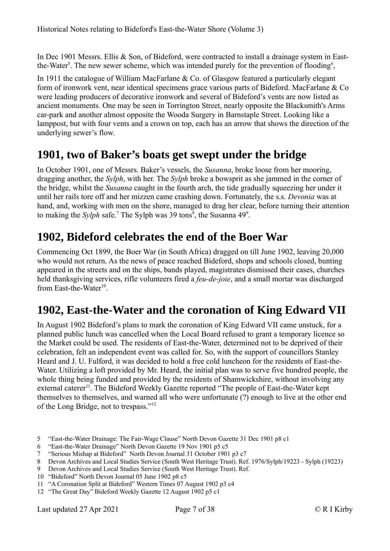In Dec 1901 Messrs. Ellis & Son, of Bideford, were contracted to install a drainage system in East-the-Water<sup>[5](#page-6-3)</sup>. The new sewer scheme, which was intended purely for the prevention of flooding<sup>[6](#page-6-4)</sup>,

In 1911 the catalogue of William MacFarlane & Co. of Glasgow featured a particularly elegant form of ironwork vent, near identical specimens grace various parts of Bideford. MacFarlane & Co were leading producers of decorative ironwork and several of Bideford's vents are now listed as ancient monuments. One may be seen in Torrington Street, nearly opposite the Blacksmith's Arms car-park and another almost opposite the Wooda Surgery in Barnstaple Street. Looking like a lamppost, but with four vents and a crown on top, each has an arrow that shows the direction of the underlying sewer's flow.

#### <span id="page-6-2"></span>**1901, two of Baker's boats get swept under the bridge**

In October 1901, one of Messrs. Baker's vessels, the *Susanna*, broke loose from her mooring, dragging another, the *Sylph*, with her. The *Sylph* broke a bowsprit as she jammed in the corner of the bridge, whilst the *Susanna* caught in the fourth arch, the tide gradually squeezing her under it until her rails tore off and her mizzen came crashing down. Fortunately, the s.s. *Devonia* was at hand, and, working with men on the shore, managed to drag her clear, before turning their attention to making the *Sylph* safe.<sup>[7](#page-6-5)</sup> The Sylph was 39 tons<sup>[8](#page-6-6)</sup>, the Susanna 4[9](#page-6-7)<sup>9</sup>.

#### <span id="page-6-1"></span>**1902, Bideford celebrates the end of the Boer War**

Commencing Oct 1899, the Boer War (in South Africa) dragged on till June 1902, leaving 20,000 who would not return. As the news of peace reached Bideford, shops and schools closed, bunting appeared in the streets and on the ships, bands played, magistrates dismissed their cases, churches held thanksgiving services, rifle volunteers fired a *feu-de-joie*, and a small mortar was discharged from East-the-Water<sup>[10](#page-6-8)</sup>.

#### <span id="page-6-0"></span>**1902, East-the-Water and the coronation of King Edward VII**

In August 1902 Bideford's plans to mark the coronation of King Edward VII came unstuck, for a planned public lunch was cancelled when the Local Board refused to grant a temporary licence so the Market could be used. The residents of East-the-Water, determined not to be deprived of their celebration, felt an independent event was called for. So, with the support of councillors Stanley Heard and J. U. Fulford, it was decided to hold a free cold luncheon for the residents of East-the-Water. Utilizing a loft provided by Mr. Heard, the initial plan was to serve five hundred people, the whole thing being funded and provided by the residents of Shamwickshire, without involving any external caterer<sup>[11](#page-6-9)</sup>. The Bideford Weekly Gazette reported "The people of East-the-Water kept themselves to themselves, and warned all who were unfortunate (?) enough to live at the other end of the Long Bridge, not to trespass."[12](#page-6-10)

- <span id="page-6-3"></span>5 "East-the-Water Drainage: The Fair-Wage Clause" North Devon Gazette 31 Dec 1901 p8 c1
- <span id="page-6-4"></span>6 "East-the-Water Drainage" North Devon Gazette 19 Nov 1901 p5 c5
- <span id="page-6-5"></span>7 "Serious Mishap at Bideford" North Devon Journal 31 October 1901 p3 c7
- <span id="page-6-6"></span>8 Devon Archives and Local Studies Service (South West Heritage Trust). Ref. 1976/Sylph/19223 - Sylph (19223)
- <span id="page-6-7"></span>9 Devon Archives and Local Studies Service (South West Heritage Trust). Ref.
- <span id="page-6-8"></span>10 "Bideford" North Devon Journal 05 June 1902 p8 c5
- <span id="page-6-9"></span>11 "A Coronation Split at Bideford" Western Times 07 August 1902 p3 c4
- <span id="page-6-10"></span>12 "The Great Day" Bideford Weekly Gazette 12 August 1902 p5 c1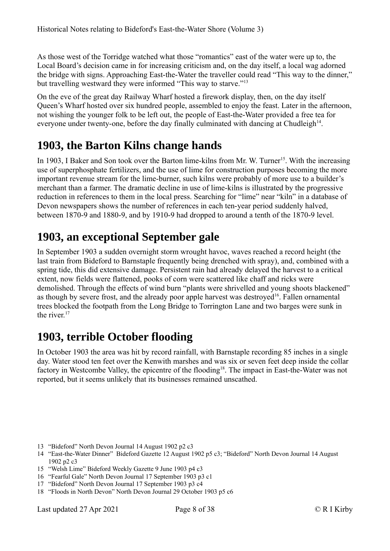As those west of the Torridge watched what those "romantics" east of the water were up to, the Local Board's decision came in for increasing criticism and, on the day itself, a local wag adorned the bridge with signs. Approaching East-the-Water the traveller could read "This way to the dinner," but travelling westward they were informed "This way to starve."[13](#page-7-3)

On the eve of the great day Railway Wharf hosted a firework display, then, on the day itself Queen's Wharf hosted over six hundred people, assembled to enjoy the feast. Later in the afternoon, not wishing the younger folk to be left out, the people of East-the-Water provided a free tea for everyone under twenty-one, before the day finally culminated with dancing at Chudleigh<sup>[14](#page-7-4)</sup>.

#### <span id="page-7-2"></span>**1903, the Barton Kilns change hands**

In 1903, I Baker and Son took over the Barton lime-kilns from Mr. W. Turner<sup>[15](#page-7-5)</sup>. With the increasing use of superphosphate fertilizers, and the use of lime for construction purposes becoming the more important revenue stream for the lime-burner, such kilns were probably of more use to a builder's merchant than a farmer. The dramatic decline in use of lime-kilns is illustrated by the progressive reduction in references to them in the local press. Searching for "lime" near "kiln" in a database of Devon newspapers shows the number of references in each ten-year period suddenly halved, between 1870-9 and 1880-9, and by 1910-9 had dropped to around a tenth of the 1870-9 level.

#### <span id="page-7-1"></span>**1903, an exceptional September gale**

In September 1903 a sudden overnight storm wrought havoc, waves reached a record height (the last train from Bideford to Barnstaple frequently being drenched with spray), and, combined with a spring tide, this did extensive damage. Persistent rain had already delayed the harvest to a critical extent, now fields were flattened, pooks of corn were scattered like chaff and ricks were demolished. Through the effects of wind burn "plants were shrivelled and young shoots blackened" as though by severe frost, and the already poor apple harvest was destroyed<sup>[16](#page-7-6)</sup>. Fallen ornamental trees blocked the footpath from the Long Bridge to Torrington Lane and two barges were sunk in the river $17$ 

## <span id="page-7-0"></span>**1903, terrible October flooding**

In October 1903 the area was hit by record rainfall, with Barnstaple recording 85 inches in a single day. Water stood ten feet over the Kenwith marshes and was six or seven feet deep inside the collar factory in Westcombe Valley, the epicentre of the flooding<sup>[18](#page-7-8)</sup>. The impact in East-the-Water was not reported, but it seems unlikely that its businesses remained unscathed.

- <span id="page-7-3"></span>13 "Bideford" North Devon Journal 14 August 1902 p2 c3
- <span id="page-7-4"></span>14 "East-the-Water Dinner" Bideford Gazette 12 August 1902 p5 c3; "Bideford" North Devon Journal 14 August 1902 p2 c3
- <span id="page-7-5"></span>15 "Welsh Lime" Bideford Weekly Gazette 9 June 1903 p4 c3
- <span id="page-7-6"></span>16 "Fearful Gale" North Devon Journal 17 September 1903 p3 c1
- <span id="page-7-7"></span>17 "Bideford" North Devon Journal 17 September 1903 p3 c4
- <span id="page-7-8"></span>18 "Floods in North Devon" North Devon Journal 29 October 1903 p5 c6

Last updated 27 Apr 2021 Page 8 of 38 C R I Kirby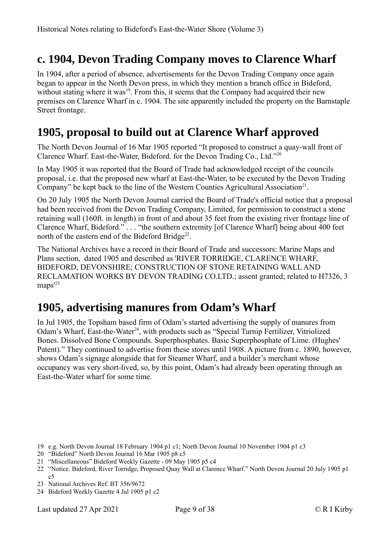## <span id="page-8-2"></span>**c. 1904, Devon Trading Company moves to Clarence Wharf**

In 1904, after a period of absence, advertisements for the Devon Trading Company once again began to appear in the North Devon press, in which they mention a branch office in Bideford, without stating where it was<sup>[19](#page-8-3)</sup>. From this, it seems that the Company had acquired their new premises on Clarence Wharf in c. 1904. The site apparently included the property on the Barnstaple Street frontage.

#### <span id="page-8-1"></span>**1905, proposal to build out at Clarence Wharf approved**

The North Devon Journal of 16 Mar 1905 reported "It proposed to construct a quay-wall front of Clarence Wharf. East-the-Water, Bideford. for the Devon Trading Co., Ltd."[20](#page-8-4)

In May 1905 it was reported that the Board of Trade had acknowledged receipt of the councils proposal, i.e. that the proposed new wharf at East-the-Water, to be executed by the Devon Trading Company" be kept back to the line of the Western Counties Agricultural Association $2<sup>1</sup>$ .

On 20 July 1905 the North Devon Journal carried the Board of Trade's official notice that a proposal had been received from the Devon Trading Company, Limited, for permission to construct a stone retaining wall (160ft. in length) in front of and about 35 feet from the existing river frontage line of Clarence Wharf, Bideford." . . . "the southern extremity [of Clarence Wharf] being about 400 feet north of the eastern end of the Bideford Bridge<sup>[22](#page-8-6)</sup>.

The National Archives have a record in their Board of Trade and successors: Marine Maps and Plans section, dated 1905 and described as 'RIVER TORRIDGE, CLARENCE WHARF, BIDEFORD, DEVONSHIRE; CONSTRUCTION OF STONE RETAINING WALL AND RECLAMATION WORKS BY DEVON TRADING CO.LTD.; assent granted; related to H7326, 3 maps<sup>'[23](#page-8-7)</sup>

## <span id="page-8-0"></span>**1905, advertising manures from Odam's Wharf**

In Jul 1905, the Topsham based firm of Odam's started advertising the supply of manures from Odam's Wharf, East-the-Water<sup>[24](#page-8-8)</sup>, with products such as "Special Turnip Fertilizer, Vitriolized Bones. Dissolved Bone Compounds. Superphosphates. Basic Superphosphate of Lime. (Hughes' Patent)." They continued to advertise from these stores until 1908. A picture from c. 1890, however, shows Odam's signage alongside that for Steamer Wharf, and a builder's merchant whose occupancy was very short-lived, so, by this point, Odam's had already been operating through an East-the-Water wharf for some time.

- <span id="page-8-3"></span>19 e.g. North Devon Journal 18 February 1904 p1 c1; North Devon Journal 10 November 1904 p1 c3
- <span id="page-8-4"></span>20 "Bideford" North Devon Journal 16 Mar 1905 p8 c5
- <span id="page-8-5"></span>21 "Miscellaneous" Bideford Weekly Gazette - 09 May 1905 p5 c4
- <span id="page-8-6"></span>22 "Notice. Bideford, River Torridge, Proposed Quay Wall at Clarence Wharf." North Devon Journal 20 July 1905 p1  $c<sub>5</sub>$
- <span id="page-8-7"></span>23 National Archives Ref. BT 356/9672
- <span id="page-8-8"></span>24 Bideford Weekly Gazette 4 Jul 1905 p1 c2

Last updated 27 Apr 2021 Page 9 of 38 © R I Kirby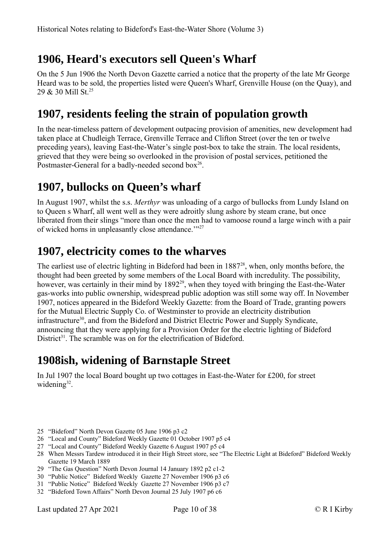# <span id="page-9-4"></span>**1906, Heard's executors sell Queen's Wharf**

On the 5 Jun 1906 the North Devon Gazette carried a notice that the property of the late Mr George Heard was to be sold, the properties listed were Queen's Wharf, Grenville House (on the Quay), and 29 & 30 Mill St.[25](#page-9-5)

## <span id="page-9-3"></span>**1907, residents feeling the strain of population growth**

In the near-timeless pattern of development outpacing provision of amenities, new development had taken place at Chudleigh Terrace, Grenville Terrace and Clifton Street (over the ten or twelve preceding years), leaving East-the-Water's single post-box to take the strain. The local residents, grieved that they were being so overlooked in the provision of postal services, petitioned the Postmaster-General for a badly-needed second box $^{26}$  $^{26}$  $^{26}$ .

# <span id="page-9-2"></span>**1907, bullocks on Queen's wharf**

In August 1907, whilst the s.s. *Merthyr* was unloading of a cargo of bullocks from Lundy Island on to Queen s Wharf, all went well as they were adroitly slung ashore by steam crane, but once liberated from their slings "more than once the men had to vamoose round a large winch with a pair of wicked horns in unpleasantly close attendance.""<sup>[27](#page-9-7)</sup>

## <span id="page-9-1"></span>**1907, electricity comes to the wharves**

The earliest use of electric lighting in Bideford had been in 1887<sup>[28](#page-9-8)</sup>, when, only months before, the thought had been greeted by some members of the Local Board with incredulity. The possibility, however, was certainly in their mind by 1892<sup>[29](#page-9-9)</sup>, when they toyed with bringing the East-the-Water gas-works into public ownership, widespread public adoption was still some way off. In November 1907, notices appeared in the Bideford Weekly Gazette: from the Board of Trade, granting powers for the Mutual Electric Supply Co. of Westminster to provide an electricity distribution infrastructure<sup>[30](#page-9-10)</sup>, and from the Bideford and District Electric Power and Supply Syndicate, announcing that they were applying for a Provision Order for the electric lighting of Bideford District<sup>[31](#page-9-11)</sup>. The scramble was on for the electrification of Bideford.

## <span id="page-9-0"></span>**1908ish, widening of Barnstaple Street**

In Jul 1907 the local Board bought up two cottages in East-the-Water for £200, for street widening $32$ .

- <span id="page-9-5"></span>25 "Bideford" North Devon Gazette 05 June 1906 p3 c2
- <span id="page-9-6"></span>26 "Local and County" Bideford Weekly Gazette 01 October 1907 p5 c4
- <span id="page-9-7"></span>27 "Local and County" Bideford Weekly Gazette 6 August 1907 p5 c4
- <span id="page-9-8"></span>28 When Messrs Tardew introduced it in their High Street store, see "The Electric Light at Bideford" Bideford Weekly Gazette 19 March 1889
- <span id="page-9-9"></span>29 "The Gas Question" North Devon Journal 14 January 1892 p2 c1-2
- <span id="page-9-10"></span>30 "Public Notice" Bideford Weekly Gazette 27 November 1906 p3 c6
- <span id="page-9-11"></span>31 "Public Notice" Bideford Weekly Gazette 27 November 1906 p3 c7
- <span id="page-9-12"></span>32 "Bideford Town Affairs" North Devon Journal 25 July 1907 p6 c6

Last updated 27 Apr 2021 Page 10 of 38 © R I Kirby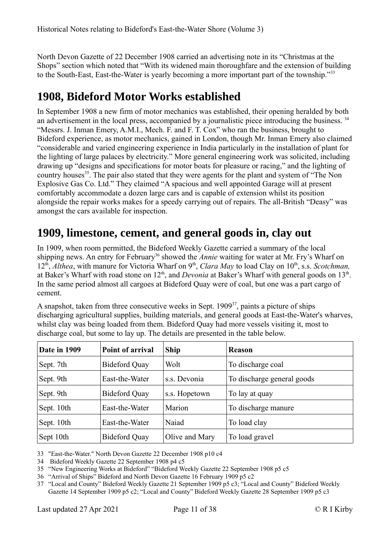North Devon Gazette of 22 December 1908 carried an advertising note in its "Christmas at the Shops" section which noted that "With its widened main thoroughfare and the extension of building to the South-East, East-the-Water is yearly becoming a more important part of the township."<sup>[33](#page-10-2)</sup>

#### <span id="page-10-1"></span>**1908, Bideford Motor Works established**

In September 1908 a new firm of motor mechanics was established, their opening heralded by both an advertisement in the local press, accompanied by a journalistic piece introducing the business. <sup>[34](#page-10-3)</sup> "Messrs. J. Inman Emery, A.M.I., Mech. F. and F. T. Cox" who ran the business, brought to Bideford experience, as motor mechanics, gained in London, though Mr. Inman Emery also claimed "considerable and varied engineering experience in India particularly in the installation of plant for the lighting of large palaces by electricity." More general engineering work was solicited, including drawing up "designs and specifications for motor boats for pleasure or racing," and the lighting of country houses<sup>[35](#page-10-4)</sup>. The pair also stated that they were agents for the plant and system of "The Non Explosive Gas Co. Ltd." They claimed "A spacious and well appointed Garage will at present comfortably accommodate a dozen large cars and is capable of extension whilst its position alongside the repair works makes for a speedy carrying out of repairs. The all-British "Deasy" was amongst the cars available for inspection.

#### <span id="page-10-0"></span>**1909, limestone, cement, and general goods in, clay out**

In 1909, when room permitted, the Bideford Weekly Gazette carried a summary of the local shipping news. An entry for February<sup>[36](#page-10-5)</sup> showed the *Annie* waiting for water at Mr. Fry's Wharf on 12<sup>th</sup>, *Althea*, with manure for Victoria Wharf on 9<sup>th</sup>, *Clara May* to load Clay on 10<sup>th</sup>, s.s. *Scotchman*, at Baker's Wharf with road stone on 12<sup>th</sup>, and *Devonia* at Baker's Wharf with general goods on 13<sup>th</sup>. In the same period almost all cargoes at Bideford Quay were of coal, but one was a part cargo of cement.

A snapshot, taken from three consecutive weeks in Sept.  $1909^{37}$  $1909^{37}$  $1909^{37}$ , paints a picture of ships discharging agricultural supplies, building materials, and general goods at East-the-Water's wharves, whilst clay was being loaded from them. Bideford Quay had more vessels visiting it, most to discharge coal, but some to lay up. The details are presented in the table below.

| Date in 1909 | Point of arrival     | <b>Ship</b>    | <b>Reason</b>              |
|--------------|----------------------|----------------|----------------------------|
| 'Sept. 7th   | <b>Bideford Quay</b> | Wolt           | To discharge coal          |
| Sept. 9th    | East-the-Water       | s.s. Devonia   | To discharge general goods |
| Sept. 9th    | <b>Bideford Quay</b> | s.s. Hopetown  | To lay at quay             |
| Sept. 10th   | East-the-Water       | Marion         | To discharge manure        |
| Sept. 10th   | East-the-Water       | Naiad          | To load clay               |
| Sept 10th    | <b>Bideford Quay</b> | Olive and Mary | To load gravel             |

<span id="page-10-2"></span>33 "East-the-Water." North Devon Gazette 22 December 1908 p10 c4

<span id="page-10-3"></span>34 Bideford Weekly Gazette 22 September 1908 p4 c5

<span id="page-10-4"></span>35 "New Engineering Works at Bideford" "Bideford Weekly Gazette 22 September 1908 p5 c5

<span id="page-10-5"></span>36 "Arrival of Ships" Bideford and North Devon Gazette 16 February 1909 p5 c2

<span id="page-10-6"></span>37 "Local and County" Bideford Weekly Gazette 21 September 1909 p5 c3; "Local and County" Bideford Weekly Gazette 14 September 1909 p5 c2; "Local and County" Bideford Weekly Gazette 28 September 1909 p5 c3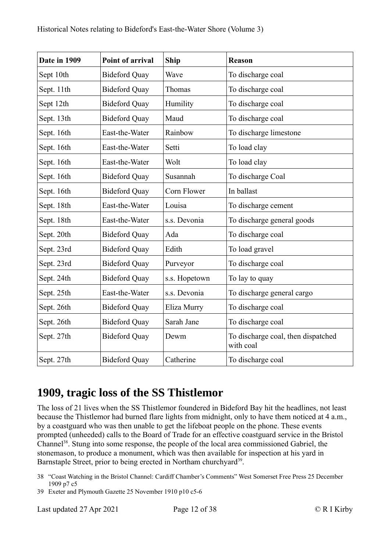| Date in 1909 | <b>Point of arrival</b> | <b>Ship</b>   | <b>Reason</b>                                   |
|--------------|-------------------------|---------------|-------------------------------------------------|
| Sept 10th    | <b>Bideford Quay</b>    | Wave          | To discharge coal                               |
| Sept. 11th   | <b>Bideford Quay</b>    | Thomas        | To discharge coal                               |
| Sept 12th    | <b>Bideford Quay</b>    | Humility      | To discharge coal                               |
| Sept. 13th   | <b>Bideford Quay</b>    | Maud          | To discharge coal                               |
| Sept. 16th   | East-the-Water          | Rainbow       | To discharge limestone                          |
| Sept. 16th   | East-the-Water          | Setti         | To load clay                                    |
| Sept. 16th   | East-the-Water          | Wolt          | To load clay                                    |
| Sept. 16th   | <b>Bideford Quay</b>    | Susannah      | To discharge Coal                               |
| Sept. 16th   | <b>Bideford Quay</b>    | Corn Flower   | In ballast                                      |
| Sept. 18th   | East-the-Water          | Louisa        | To discharge cement                             |
| Sept. 18th   | East-the-Water          | s.s. Devonia  | To discharge general goods                      |
| Sept. 20th   | <b>Bideford Quay</b>    | Ada           | To discharge coal                               |
| Sept. 23rd   | <b>Bideford Quay</b>    | Edith         | To load gravel                                  |
| Sept. 23rd   | <b>Bideford Quay</b>    | Purveyor      | To discharge coal                               |
| Sept. 24th   | <b>Bideford Quay</b>    | s.s. Hopetown | To lay to quay                                  |
| Sept. 25th   | East-the-Water          | s.s. Devonia  | To discharge general cargo                      |
| Sept. 26th   | <b>Bideford Quay</b>    | Eliza Murry   | To discharge coal                               |
| Sept. 26th   | <b>Bideford Quay</b>    | Sarah Jane    | To discharge coal                               |
| Sept. 27th   | <b>Bideford Quay</b>    | Dewm          | To discharge coal, then dispatched<br>with coal |
| Sept. 27th   | <b>Bideford Quay</b>    | Catherine     | To discharge coal                               |

## <span id="page-11-0"></span>**1909, tragic loss of the SS Thistlemor**

The loss of 21 lives when the SS Thistlemor foundered in Bideford Bay hit the headlines, not least because the Thistlemor had burned flare lights from midnight, only to have them noticed at 4 a.m., by a coastguard who was then unable to get the lifeboat people on the phone. These events prompted (unheeded) calls to the Board of Trade for an effective coastguard service in the Bristol Channel[38](#page-11-1). Stung into some response, the people of the local area commissioned Gabriel, the stonemason, to produce a monument, which was then available for inspection at his yard in Barnstaple Street, prior to being erected in Northam churchyard<sup>[39](#page-11-2)</sup>.

- <span id="page-11-1"></span>38 "Coast Watching in the Bristol Channel: Cardiff Chamber's Comments" West Somerset Free Press 25 December 1909 p7 c5
- <span id="page-11-2"></span>39 Exeter and Plymouth Gazette 25 November 1910 p10 c5-6

Last updated 27 Apr 2021 Page 12 of 38 © R I Kirby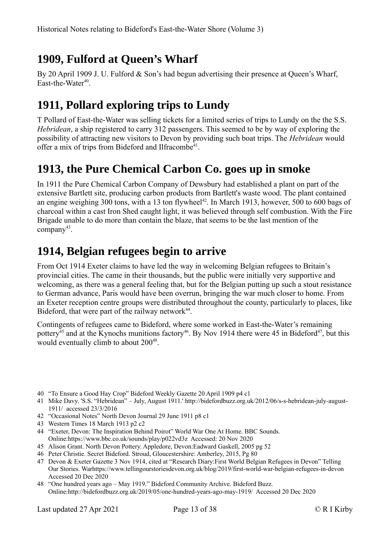# <span id="page-12-3"></span>**1909, Fulford at Queen's Wharf**

By 20 April 1909 J. U. Fulford & Son's had begun advertising their presence at Queen's Wharf, East-the-Water<sup>[40](#page-12-4)</sup>.

# <span id="page-12-2"></span>**1911, Pollard exploring trips to Lundy**

T Pollard of East-the-Water was selling tickets for a limited series of trips to Lundy on the the S.S. *Hebridean*, a ship registered to carry 312 passengers. This seemed to be by way of exploring the possibility of attracting new visitors to Devon by providing such boat trips. The *Hebridean* would offer a mix of trips from Bideford and Ilfracombe<sup>[41](#page-12-5)</sup>.

## <span id="page-12-1"></span>**1913, the Pure Chemical Carbon Co. goes up in smoke**

In 1911 the Pure Chemical Carbon Company of Dewsbury had established a plant on part of the extensive Bartlett site, producing carbon products from Bartlett's waste wood. The plant contained an engine weighing 300 tons, with a 13 ton flywheel<sup>[42](#page-12-6)</sup>. In March 1913, however, 500 to 600 bags of charcoal within a cast Iron Shed caught light, it was believed through self combustion. With the Fire Brigade unable to do more than contain the blaze, that seems to be the last mention of the company<sup>[43](#page-12-7)</sup>.

## <span id="page-12-0"></span>**1914, Belgian refugees begin to arrive**

From Oct 1914 Exeter claims to have led the way in welcoming Belgian refugees to Britain's provincial cities. The came in their thousands, but the public were initially very supportive and welcoming, as there was a general feeling that, but for the Belgian putting up such a stout resistance to German advance, Paris would have been overrun, bringing the war much closer to home. From an Exeter reception centre groups were distributed throughout the county, particularly to places, like Bideford, that were part of the railway network $44$ .

Contingents of refugees came to Bideford, where some worked in East-the-Water's remaining pottery<sup>[45](#page-12-9)</sup> and at the Kynochs munitions factory<sup>[46](#page-12-10)</sup>. By Nov 1914 there were 45 in Bideford<sup>[47](#page-12-11)</sup>, but this would eventually climb to about 200<sup>[48](#page-12-12)</sup>.

- <span id="page-12-4"></span>40 "To Ensure a Good Hay Crop" Bideford Weekly Gazette 20 April 1909 p4 c1
- <span id="page-12-5"></span>41 Mike Davy. 'S.S. "Hebridean" – July, August 1911.' http://bidefordbuzz.org.uk/2012/06/s-s-hebridean-july-august-1911/ accessed 23/3/2016
- <span id="page-12-6"></span>42 "Occasional Notes" North Devon Journal 29 June 1911 p8 c1
- <span id="page-12-7"></span>43 Western Times 18 March 1913 p2 c2
- <span id="page-12-8"></span>44 "Exeter, Devon: The Inspiration Behind Poirot" World War One At Home. BBC Sounds. Online:https://www.bbc.co.uk/sounds/play/p022vd3z Accessed: 20 Nov 2020
- <span id="page-12-9"></span>45 Alison Grant. North Devon Pottery. Appledore, Devon:Eadward Gaskell, 2005 pg 52
- <span id="page-12-10"></span>46 Peter Christie. Secret Bideford. Stroud, Gloucestershire: Amberley, 2015, Pg 80
- <span id="page-12-11"></span>47 Devon & Exeter Gazette 3 Nov 1914, cited at "Research Diary:First World Belgian Refugees in Devon" Telling Our Stories. Warhttps://www.tellingourstoriesdevon.org.uk/blog/2019/first-world-war-belgian-refugees-in-devon Accessed 20 Dec 2020
- <span id="page-12-12"></span>48 "One hundred years ago – May 1919." Bideford Community Archive. Bideford Buzz. Online:http://bidefordbuzz.org.uk/2019/05/one-hundred-years-ago-may-1919/ Accessed 20 Dec 2020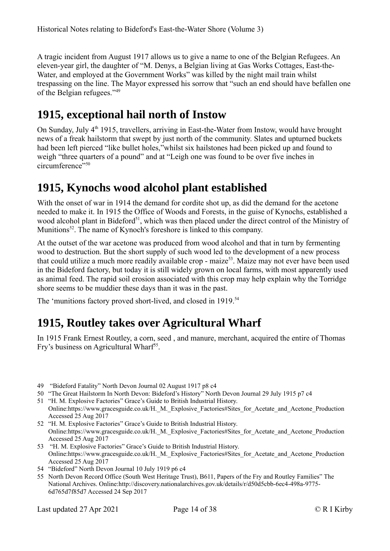A tragic incident from August 1917 allows us to give a name to one of the Belgian Refugees. An eleven-year girl, the daughter of "M. Denys, a Belgian living at Gas Works Cottages, East-the-Water, and employed at the Government Works" was killed by the night mail train whilst trespassing on the line. The Mayor expressed his sorrow that "such an end should have befallen one of the Belgian refugees."[49](#page-13-3)

# <span id="page-13-2"></span>**1915, exceptional hail north of Instow**

On Sunday, July 4<sup>th</sup> 1915, travellers, arriving in East-the-Water from Instow, would have brought news of a freak hailstorm that swept by just north of the community. Slates and upturned buckets had been left pierced "like bullet holes,"whilst six hailstones had been picked up and found to weigh "three quarters of a pound" and at "Leigh one was found to be over five inches in circumference"<sup>[50](#page-13-4)</sup>

#### <span id="page-13-1"></span>**1915, Kynochs wood alcohol plant established**

With the onset of war in 1914 the demand for cordite shot up, as did the demand for the acetone needed to make it. In 1915 the Office of Woods and Forests, in the guise of Kynochs, established a wood alcohol plant in Bideford<sup>[51](#page-13-5)</sup>, which was then placed under the direct control of the Ministry of Munitions<sup>[52](#page-13-6)</sup>. The name of Kynoch's foreshore is linked to this company.

At the outset of the war acetone was produced from wood alcohol and that in turn by fermenting wood to destruction. But the short supply of such wood led to the development of a new process that could utilize a much more readily available crop - maize<sup>[53](#page-13-7)</sup>. Maize may not ever have been used in the Bideford factory, but today it is still widely grown on local farms, with most apparently used as animal feed. The rapid soil erosion associated with this crop may help explain why the Torridge shore seems to be muddier these days than it was in the past.

The 'munitions factory proved short-lived, and closed in 1919.<sup>[54](#page-13-8)</sup>

## <span id="page-13-0"></span>**1915, Routley takes over Agricultural Wharf**

In 1915 Frank Ernest Routley, a corn, seed , and manure, merchant, acquired the entire of Thomas Fry's business on Agricultural Wharf<sup>[55](#page-13-9)</sup>.

- <span id="page-13-3"></span>49 "Bideford Fatality" North Devon Journal 02 August 1917 p8 c4
- <span id="page-13-4"></span>50 "The Great Hailstorm In North Devon: Bideford's History" North Devon Journal 29 July 1915 p7 c4
- <span id="page-13-5"></span>51 "H. M. Explosive Factories" Grace's Guide to British Industrial History. Online:https://www.gracesguide.co.uk/H.\_M.\_Explosive\_Factories#Sites\_for\_Acetate\_and\_Acetone\_Production Accessed 25 Aug 2017
- <span id="page-13-6"></span>52 "H. M. Explosive Factories" Grace's Guide to British Industrial History. Online:https://www.gracesguide.co.uk/H.\_M.\_Explosive\_Factories#Sites\_for\_Acetate\_and\_Acetone\_Production Accessed 25 Aug 2017
- <span id="page-13-7"></span>53 "H. M. Explosive Factories" Grace's Guide to British Industrial History. Online:https://www.gracesguide.co.uk/H.\_M.\_Explosive\_Factories#Sites\_for\_Acetate\_and\_Acetone\_Production Accessed 25 Aug 2017
- <span id="page-13-8"></span>54 "Bideford" North Devon Journal 10 July 1919 p6 c4
- <span id="page-13-9"></span>55 North Devon Record Office (South West Heritage Trust), B611, Papers of the Fry and Routley Families" The National Archives. Online:http://discovery.nationalarchives.gov.uk/details/r/d50d5cbb-6ec4-498a-9775- 6d765d7f85d7 Accessed 24 Sep 2017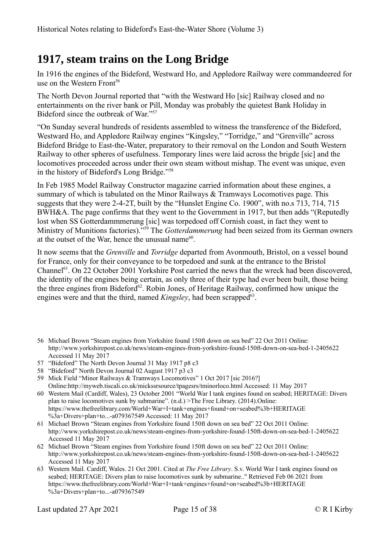## <span id="page-14-0"></span>**1917, steam trains on the Long Bridge**

In 1916 the engines of the Bideford, Westward Ho, and Appledore Railway were commandeered for use on the Western Front<sup>[56](#page-14-1)</sup>

The North Devon Journal reported that "with the Westward Ho [sic] Railway closed and no entertainments on the river bank or Pill, Monday was probably the quietest Bank Holiday in Bideford since the outbreak of War."[57](#page-14-2)

"On Sunday several hundreds of residents assembled to witness the transference of the Bideford, Westward Ho, and Appledore Railway engines "Kingsley," "Torridge," and "Grenville" across Bideford Bridge to East-the-Water, preparatory to their removal on the London and South Western Railway to other spheres of usefulness. Temporary lines were laid across the brigde [sic] and the locomotives proceeded across under their own steam without mishap. The event was unique, even in the history of Bideford's Long Bridge."[58](#page-14-3)

In Feb 1985 Model Railway Constructor magazine carried information about these engines, a summary of which is tabulated on the Minor Railways & Tramways Locomotives page. This suggests that they were 2-4-2T, built by the "Hunslet Engine Co. 1900", with no.s 713, 714, 715 BWH&A. The page confirms that they went to the Government in 1917, but then adds "(Reputedly lost when SS Gotterdammmerung [sic] was torpedoed off Cornish coast, in fact they went to Ministry of Munitions factories)."[59](#page-14-4) The *Gotterdammerung* had been seized from its German owners at the outset of the War, hence the unusual name<sup>[60](#page-14-5)</sup>.

It now seems that the *Grenville* and *Torridge* departed from Avonmouth, Bristol, on a vessel bound for France, only for their conveyance to be torpedoed and sunk at the entrance to the Bristol Channel<sup>[61](#page-14-6)</sup>. On 22 October 2001 Yorkshire Post carried the news that the wreck had been discovered, the identity of the engines being certain, as only three of their type had ever been built, those being the three engines from Bideford<sup>[62](#page-14-7)</sup>. Robin Jones, of Heritage Railway, confirmed how unique the engines were and that the third, named *Kingsley*, had been scrapped<sup>[63](#page-14-8)</sup>.

- <span id="page-14-1"></span>56 Michael Brown "Steam engines from Yorkshire found 150ft down on sea bed" 22 Oct 2011 Online: http://www.yorkshirepost.co.uk/news/steam-engines-from-yorkshire-found-150ft-down-on-sea-bed-1-2405622 Accessed 11 May 2017
- <span id="page-14-2"></span>57 "Bideford" The North Devon Journal 31 May 1917 p8 c3
- <span id="page-14-3"></span>58 "Bideford" North Devon Journal 02 August 1917 p3 c3
- <span id="page-14-4"></span>59 Mick Field "Minor Railways & Tramways Locomotives" 1 Oct 2017 [sic 2016?] Online:http://myweb.tiscali.co.uk/mickssrsource/tpagesrs/tminorloco.html Accessed: 11 May 2017
- <span id="page-14-5"></span>60 Western Mail (Cardiff, Wales), 23 October 2001 "World War I tank engines found on seabed; HERITAGE: Divers plan to raise locomotives sunk by submarine". (n.d.) >The Free Library. (2014).Online: https://www.thefreelibrary.com/World+War+I+tank+engines+found+on+seabed%3b+HERITAGE %3a+Divers+plan+to...-a079367549 Accessed: 11 May 2017
- <span id="page-14-6"></span>61 Michael Brown "Steam engines from Yorkshire found 150ft down on sea bed" 22 Oct 2011 Online: http://www.yorkshirepost.co.uk/news/steam-engines-from-yorkshire-found-150ft-down-on-sea-bed-1-2405622 Accessed 11 May 2017
- <span id="page-14-7"></span>62 Michael Brown "Steam engines from Yorkshire found 150ft down on sea bed" 22 Oct 2011 Online: http://www.yorkshirepost.co.uk/news/steam-engines-from-yorkshire-found-150ft-down-on-sea-bed-1-2405622 Accessed 11 May 2017
- <span id="page-14-8"></span>63 Western Mail. Cardiff, Wales. 21 Oct 2001. Cited at *The Free Library*. S.v. World War I tank engines found on seabed; HERITAGE: Divers plan to raise locomotives sunk by submarine.." Retrieved Feb 06 2021 from https://www.thefreelibrary.com/World+War+I+tank+engines+found+on+seabed%3b+HERITAGE %3a+Divers+plan+to...-a079367549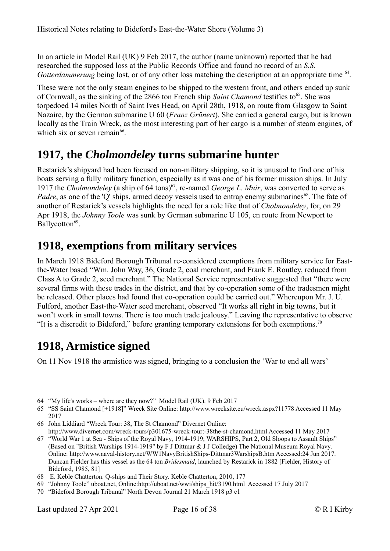In an article in Model Rail (UK) 9 Feb 2017, the author (name unknown) reported that he had researched the supposed loss at the Public Records Office and found no record of an *S.S.*  Gotterdammerung being lost, or of any other loss matching the description at an appropriate time <sup>[64](#page-15-3)</sup>.

These were not the only steam engines to be shipped to the western front, and others ended up sunk of Cornwall, as the sinking of the 2866 ton French ship *Saint Chamond* testifies to<sup>[65](#page-15-4)</sup>. She was torpedoed 14 miles North of Saint Ives Head, on April 28th, 1918, on route from Glasgow to Saint Nazaire, by the German submarine U 60 (*Franz Grünert*). She carried a general cargo, but is known locally as the Train Wreck, as the most interesting part of her cargo is a number of steam engines, of which six or seven remain<sup>[66](#page-15-5)</sup>.

#### <span id="page-15-2"></span>**1917, the** *Cholmondeley* **turns submarine hunter**

Restarick's shipyard had been focused on non-military shipping, so it is unusual to find one of his boats serving a fully military function, especially as it was one of his former mission ships. In July 1917 the *Cholmondeley* (a ship of 64 tons)<sup>[67](#page-15-6)</sup>, re-named *George L. Muir*, was converted to serve as *Padre*, as one of the 'Q' ships, armed decoy vessels used to entrap enemy submarines<sup>[68](#page-15-7)</sup>. The fate of another of Restarick's vessels highlights the need for a role like that of *Cholmondeley*, for, on 29 Apr 1918, the *Johnny Toole* was sunk by German submarine U 105, en route from Newport to Ballycotton<sup>[69](#page-15-8)</sup>.

#### <span id="page-15-1"></span>**1918, exemptions from military services**

In March 1918 Bideford Borough Tribunal re-considered exemptions from military service for Eastthe-Water based "Wm. John Way, 36, Grade 2, coal merchant, and Frank E. Routley, reduced from Class A to Grade 2, seed merchant." The National Service representative suggested that "there were several firms with these trades in the district, and that by co-operation some of the tradesmen might be released. Other places had found that co-operation could be carried out." Whereupon Mr. J. U. Fulford, another East-the-Water seed merchant, observed "It works all right in big towns, but it won't work in small towns. There is too much trade jealousy." Leaving the representative to observe "It is a discredit to Bideford," before granting temporary extensions for both exemptions.<sup>[70](#page-15-9)</sup>

#### <span id="page-15-0"></span>**1918, Armistice signed**

On 11 Nov 1918 the armistice was signed, bringing to a conclusion the 'War to end all wars'

- <span id="page-15-3"></span>64 "My life's works – where are they now?" Model Rail (UK). 9 Feb 2017
- <span id="page-15-4"></span>65 "SS Saint Chamond [+1918]" Wreck Site Online: http://www.wrecksite.eu/wreck.aspx?11778 Accessed 11 May 2017
- <span id="page-15-5"></span>66 John Liddiard "Wreck Tour: 38, The St Chamond" Divernet Online: http://www.divernet.com/wreck-tours/p301675-wreck-tour:-38the-st-chamond.html Accessed 11 May 2017

<span id="page-15-6"></span>67 "World War 1 at Sea - Ships of the Royal Navy, 1914-1919; WARSHIPS, Part 2, Old Sloops to Assault Ships" (Based on "British Warships 1914-1919" by F J Dittmar & J J Colledge) The National Museum Royal Navy. Online: http://www.naval-history.net/WW1NavyBritishShips-Dittmar3WarshipsB.htm Accessed:24 Jun 2017. Duncan Fielder has this vessel as the 64 ton *Bridesmaid*, launched by Restarick in 1882 [Fielder, History of Bideford, 1985, 81]

- <span id="page-15-7"></span>68 E. Keble Chatterton. Q-ships and Their Story. Keble Chatterton, 2010, 177
- <span id="page-15-8"></span>69 "Johnny Toole" uboat.net, Online:http://uboat.net/wwi/ships\_hit/3190.html Accessed 17 July 2017
- <span id="page-15-9"></span>70 "Bideford Borough Tribunal" North Devon Journal 21 March 1918 p3 c1

Last updated 27 Apr 2021 Page 16 of 38 © R I Kirby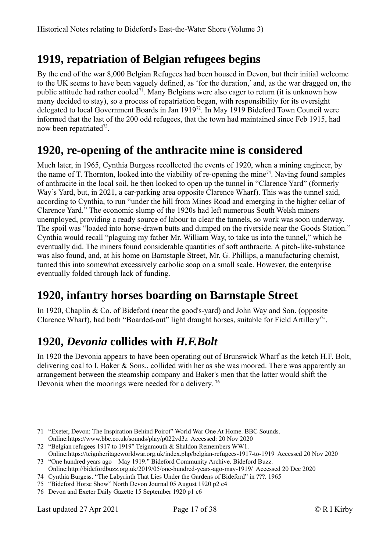# <span id="page-16-3"></span>**1919, repatriation of Belgian refugees begins**

By the end of the war 8,000 Belgian Refugees had been housed in Devon, but their initial welcome to the UK seems to have been vaguely defined, as 'for the duration,' and, as the war dragged on, the public attitude had rather cooled<sup>[71](#page-16-4)</sup>. Many Belgians were also eager to return (it is unknown how many decided to stay), so a process of repatriation began, with responsibility for its oversight delegated to local Government Boards in Jan 1919<sup>[72](#page-16-5)</sup>. In May 1919 Bideford Town Council were informed that the last of the 200 odd refugees, that the town had maintained since Feb 1915, had now been repatriated<sup>[73](#page-16-6)</sup>.

## <span id="page-16-2"></span>**1920, re-opening of the anthracite mine is considered**

Much later, in 1965, Cynthia Burgess recollected the events of 1920, when a mining engineer, by the name of T. Thornton, looked into the viability of re-opening the mine<sup>[74](#page-16-7)</sup>. Naving found samples of anthracite in the local soil, he then looked to open up the tunnel in "Clarence Yard" (formerly Way's Yard, but, in 2021, a car-parking area opposite Clarence Wharf). This was the tunnel said, according to Cynthia, to run "under the hill from Mines Road and emerging in the higher cellar of Clarence Yard." The economic slump of the 1920s had left numerous South Welsh miners unemployed, providing a ready source of labour to clear the tunnels, so work was soon underway. The spoil was "loaded into horse-drawn butts and dumped on the riverside near the Goods Station." Cynthia would recall "plaguing my father Mr. William Way, to take us into the tunnel," which he eventually did. The miners found considerable quantities of soft anthracite. A pitch-like-substance was also found, and, at his home on Barnstaple Street, Mr. G. Phillips, a manufacturing chemist, turned this into somewhat excessively carbolic soap on a small scale. However, the enterprise eventually folded through lack of funding.

## <span id="page-16-1"></span>**1920, infantry horses boarding on Barnstaple Street**

In 1920, Chaplin & Co. of Bideford (near the good's-yard) and John Way and Son. (opposite Clarence Wharf), had both "Boarded-out" light draught horses, suitable for Field Artillery<sup>1[75](#page-16-8)</sup>.

# <span id="page-16-0"></span>**1920,** *Devonia* **collides with** *H.F.Bolt*

In 1920 the Devonia appears to have been operating out of Brunswick Wharf as the ketch H.F. Bolt, delivering coal to I. Baker & Sons., collided with her as she was moored. There was apparently an arrangement between the steamship company and Baker's men that the latter would shift the Devonia when the moorings were needed for a delivery.<sup>[76](#page-16-9)</sup>

- <span id="page-16-4"></span>71 "Exeter, Devon: The Inspiration Behind Poirot" World War One At Home. BBC Sounds. Online:https://www.bbc.co.uk/sounds/play/p022vd3z Accessed: 20 Nov 2020
- <span id="page-16-5"></span>72 "Belgian refugees 1917 to 1919" Teignmouth & Shaldon Remembers WW1. Online:https://teignheritageworldwar.org.uk/index.php/belgian-refugees-1917-to-1919 Accessed 20 Nov 2020
- <span id="page-16-6"></span>73 "One hundred years ago – May 1919." Bideford Community Archive. Bideford Buzz. Online:http://bidefordbuzz.org.uk/2019/05/one-hundred-years-ago-may-1919/ Accessed 20 Dec 2020
- <span id="page-16-7"></span>74 Cynthia Burgess. "The Labyrinth That Lies Under the Gardens of Bideford" in ???. 1965
- <span id="page-16-8"></span>75 "Bideford Horse Show" North Devon Journal 05 August 1920 p2 c4
- <span id="page-16-9"></span>76 Devon and Exeter Daily Gazette 15 September 1920 p1 c6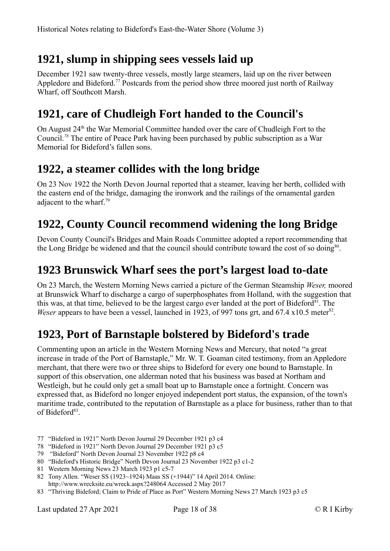## <span id="page-17-5"></span>**1921, slump in shipping sees vessels laid up**

December 1921 saw twenty-three vessels, mostly large steamers, laid up on the river between Appledore and Bideford.<sup>[77](#page-17-6)</sup> Postcards from the period show three moored just north of Railway Wharf, off Southcott Marsh.

## <span id="page-17-4"></span>**1921, care of Chudleigh Fort handed to the Council's**

On August 24<sup>th</sup> the War Memorial Committee handed over the care of Chudleigh Fort to the Council.*[78](#page-17-7)* The entire of Peace Park having been purchased by public subscription as a War Memorial for Bideford's fallen sons.

#### <span id="page-17-3"></span>**1922, a steamer collides with the long bridge**

On 23 Nov 1922 the North Devon Journal reported that a steamer, leaving her berth, collided with the eastern end of the bridge, damaging the ironwork and the railings of the ornamental garden adiacent to the wharf.<sup>[79](#page-17-8)</sup>

# <span id="page-17-2"></span>**1922, County Council recommend widening the long Bridge**

Devon County Council's Bridges and Main Roads Committee adopted a report recommending that the Long Bridge be widened and that the council should contribute toward the cost of so doing<sup>[80](#page-17-9)</sup>.

#### <span id="page-17-1"></span>**1923 Brunswick Wharf sees the port's largest load to-date**

On 23 March, the Western Morning News carried a picture of the German Steamship *Weser,* moored at Brunswick Wharf to discharge a cargo of superphosphates from Holland, with the suggestion that this was, at that time, believed to be the largest cargo ever landed at the port of Bideford<sup>[81](#page-17-10)</sup>. The Weser appears to have been a vessel, launched in 1923, of 997 tons grt, and 67.4 x10.5 meter<sup>[82](#page-17-11)</sup>.

## <span id="page-17-0"></span>**1923, Port of Barnstaple bolstered by Bideford's trade**

Commenting upon an article in the Western Morning News and Mercury, that noted "a great increase in trade of the Port of Barnstaple," Mr. W. T. Goaman cited testimony, from an Appledore merchant, that there were two or three ships to Bideford for every one bound to Barnstaple. In support of this observation, one alderman noted that his business was based at Northam and Westleigh, but he could only get a small boat up to Barnstaple once a fortnight. Concern was expressed that, as Bideford no longer enjoyed independent port status, the expansion, of the town's maritime trade, contributed to the reputation of Barnstaple as a place for business, rather than to that of Bideford<sup>[83](#page-17-12)</sup>.

- <span id="page-17-6"></span>77 "Bideford in 1921" North Devon Journal 29 December 1921 p3 c4
- <span id="page-17-7"></span>78 "Bideford in 1921" North Devon Journal 29 December 1921 p3 c5
- <span id="page-17-8"></span>79 "Bideford" North Devon Journal 23 November 1922 p8 c4
- <span id="page-17-9"></span>80 "Bideford's Historic Bridge" North Devon Journal 23 November 1922 p3 c1-2
- <span id="page-17-10"></span>81 Western Morning News 23 March 1923 p1 c5-7
- <span id="page-17-11"></span>82 Tony Allen. "Weser SS (1923~1924) Maas SS (+1944)" 14 April 2014. Online: http://www.wrecksite.eu/wreck.aspx?248064 Accessed 2 May 2017
- <span id="page-17-12"></span>83 "Thriving Bideford; Claim to Pride of Place as Port" Western Morning News 27 March 1923 p3 c5

Last updated 27 Apr 2021 Page 18 of 38 © R I Kirby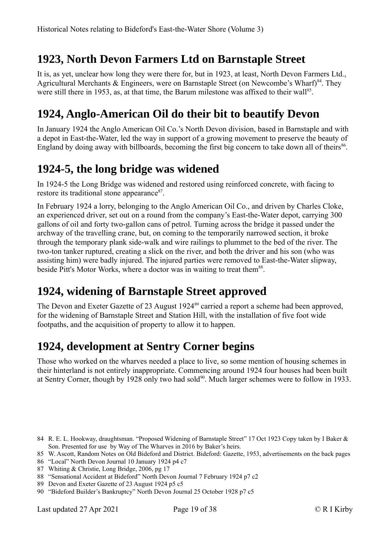# <span id="page-18-0"></span>**1923, North Devon Farmers Ltd on Barnstaple Street**

It is, as yet, unclear how long they were there for, but in 1923, at least, North Devon Farmers Ltd., Agricultural Merchants & Engineers, were on Barnstaple Street (on Newcombe's Wharf)<sup>[84](#page-18-5)</sup>. They were still there in 1953, as, at that time, the Barum milestone was affixed to their wall<sup>[85](#page-18-6)</sup>.

# <span id="page-18-4"></span>**1924, Anglo-American Oil do their bit to beautify Devon**

In January 1924 the Anglo American Oil Co.'s North Devon division, based in Barnstaple and with a depot in East-the-Water, led the way in support of a growing movement to preserve the beauty of England by doing away with billboards, becoming the first big concern to take down all of theirs<sup>[86](#page-18-7)</sup>.

## <span id="page-18-3"></span>**1924-5, the long bridge was widened**

In 1924-5 the Long Bridge was widened and restored using reinforced concrete, with facing to restore its traditional stone appearance<sup>[87](#page-18-8)</sup>.

In February 1924 a lorry, belonging to the Anglo American Oil Co., and driven by Charles Cloke, an experienced driver, set out on a round from the company's East-the-Water depot, carrying 300 gallons of oil and forty two-gallon cans of petrol. Turning across the bridge it passed under the archway of the travelling crane, but, on coming to the temporarily narrowed section, it broke through the temporary plank side-walk and wire railings to plummet to the bed of the river. The two-ton tanker ruptured, creating a slick on the river, and both the driver and his son (who was assisting him) were badly injured. The injured parties were removed to East-the-Water slipway, beside Pitt's Motor Works, where a doctor was in waiting to treat them<sup>[88](#page-18-9)</sup>.

## <span id="page-18-2"></span>**1924, widening of Barnstaple Street approved**

The Devon and Exeter Gazette of 23 August 1924<sup>[89](#page-18-10)</sup> carried a report a scheme had been approved, for the widening of Barnstaple Street and Station Hill, with the installation of five foot wide footpaths, and the acquisition of property to allow it to happen.

# <span id="page-18-1"></span>**1924, development at Sentry Corner begins**

Those who worked on the wharves needed a place to live, so some mention of housing schemes in their hinterland is not entirely inappropriate. Commencing around 1924 four houses had been built at Sentry Corner, though by 1928 only two had sold<sup>[90](#page-18-11)</sup>. Much larger schemes were to follow in 1933.

<span id="page-18-10"></span>89 Devon and Exeter Gazette of 23 August 1924 p5 c5

<span id="page-18-5"></span><sup>84</sup> R. E. L. Hookway, draughtsman. "Proposed Widening of Barnstaple Street" 17 Oct 1923 Copy taken by I Baker & Son. Presented for use by Way of The Wharves in 2016 by Baker's heirs.

<span id="page-18-6"></span><sup>85</sup> W. Ascott, Random Notes on Old Bideford and District. Bideford: Gazette, 1953, advertisements on the back pages

<span id="page-18-7"></span><sup>86</sup> "Local" North Devon Journal 10 January 1924 p4 c7

<span id="page-18-8"></span><sup>87</sup> Whiting & Christie, Long Bridge, 2006, pg 17

<span id="page-18-9"></span><sup>88</sup> "Sensational Accident at Bideford" North Devon Journal 7 February 1924 p7 c2

<span id="page-18-11"></span><sup>90</sup> "Bideford Builder's Bankruptcy" North Devon Journal 25 October 1928 p7 c5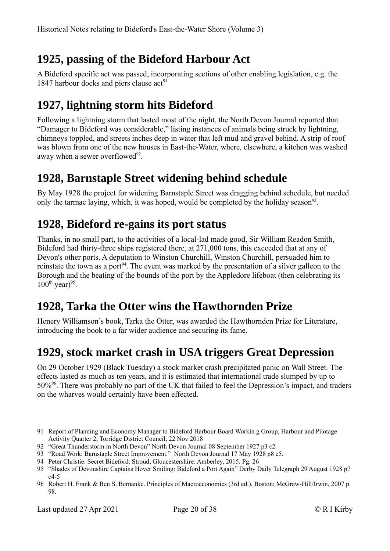# <span id="page-19-5"></span>**1925, passing of the Bideford Harbour Act**

A Bideford specific act was passed, incorporating sections of other enabling legislation, e.g. the 1847 harbour docks and piers clause  $act<sup>91</sup>$  $act<sup>91</sup>$  $act<sup>91</sup>$ 

# <span id="page-19-4"></span>**1927, lightning storm hits Bideford**

Following a lightning storm that lasted most of the night, the North Devon Journal reported that "Damager to Bideford was considerable," listing instances of animals being struck by lightning, chimneys toppled, and streets inches deep in water that left mud and gravel behind. A strip of roof was blown from one of the new houses in East-the-Water, where, elsewhere, a kitchen was washed away when a sewer overflowed<sup>[92](#page-19-7)</sup>.

#### <span id="page-19-3"></span>**1928, Barnstaple Street widening behind schedule**

By May 1928 the project for widening Barnstaple Street was dragging behind schedule, but needed only the tarmac laying, which, it was hoped, would be completed by the holiday season<sup>[93](#page-19-8)</sup>.

#### <span id="page-19-2"></span>**1928, Bideford re-gains its port status**

Thanks, in no small part, to the activities of a local-lad made good, Sir William Readon Smith, Bideford had thirty-three ships registered there, at 271,000 tons, this exceeded that at any of Devon's other ports. A deputation to Winston Churchill, Winston Churchill, persuaded him to reinstate the town as a port<sup>[94](#page-19-9)</sup>. The event was marked by the presentation of a silver galleon to the Borough and the beating of the bounds of the port by the Appledore lifeboat (then celebrating its  $100^{th}$  year)<sup>[95](#page-19-10)</sup>.

## <span id="page-19-1"></span>**1928, Tarka the Otter wins the Hawthornden Prize**

Henery Williamson's book, Tarka the Otter, was awarded the Hawthornden Prize for Literature, introducing the book to a far wider audience and securing its fame.

## <span id="page-19-0"></span>**1929, stock market crash in USA triggers Great Depression**

On 29 October 1929 (Black Tuesday) a stock market crash precipitated panic on Wall Street. The effects lasted as much as ten years, and it is estimated that international trade slumped by up to 50%[96](#page-19-11). There was probably no part of the UK that failed to feel the Depression's impact, and traders on the wharves would certainly have been effected.

- <span id="page-19-6"></span>91 Report of Planning and Economy Manager to Bideford Harbour Board Workin g Group, Harbour and Pilotage Activity Quarter 2, Torridge District Council, 22 Nov 2018
- <span id="page-19-7"></span>92 "Great Thunderstorm in North Devon" North Devon Journal 08 September 1927 p3 c2
- <span id="page-19-8"></span>93 "Road Work: Barnstaple Street Improvement." North Devon Journal 17 May 1928 p8 c5.
- <span id="page-19-9"></span>94 Peter Christie. Secret Bideford. Stroud, Gloucestershire: Amberley, 2015. Pg. 26

Last updated 27 Apr 2021 Page 20 of 38 © R I Kirby

<span id="page-19-10"></span><sup>95</sup> "Shades of Devonshire Captains Hover Smiling: Bideford a Port Again" Derby Daily Telegraph 29 August 1928 p7 c4-5

<span id="page-19-11"></span><sup>96</sup> Robert H. Frank & Ben S. Bernanke. Principles of Macroeconomics (3rd ed.). Boston: McGraw-Hill/Irwin, 2007 p. 98.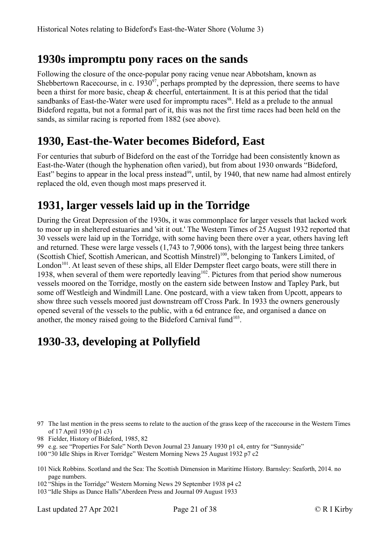#### <span id="page-20-3"></span>**1930s impromptu pony races on the sands**

Following the closure of the once-popular pony racing venue near Abbotsham, known as Shebbertown Racecourse, in c.  $1930^{\circ7}$ , perhaps prompted by the depression, there seems to have been a thirst for more basic, cheap & cheerful, entertainment. It is at this period that the tidal sandbanks of East-the-Water were used for impromptu races<sup>[98](#page-20-5)</sup>. Held as a prelude to the annual Bideford regatta, but not a formal part of it, this was not the first time races had been held on the sands, as similar racing is reported from 1882 (see above).

## <span id="page-20-2"></span>**1930, East-the-Water becomes Bideford, East**

For centuries that suburb of Bideford on the east of the Torridge had been consistently known as East-the-Water (though the hyphenation often varied), but from about 1930 onwards "Bideford, East" begins to appear in the local press instead<sup>[99](#page-20-6)</sup>, until, by 1940, that new name had almost entirely replaced the old, even though most maps preserved it.

# <span id="page-20-1"></span>**1931, larger vessels laid up in the Torridge**

During the Great Depression of the 1930s, it was commonplace for larger vessels that lacked work to moor up in sheltered estuaries and 'sit it out.' The Western Times of 25 August 1932 reported that 30 vessels were laid up in the Torridge, with some having been there over a year, others having left and returned. These were large vessels (1,743 to 7,9006 tons), with the largest being three tankers (Scottish Chief, Scottish American, and Scottish Minstrel)<sup>[100](#page-20-7)</sup>, belonging to Tankers Limited, of London<sup>[101](#page-20-8)</sup>. At least seven of these ships, all Elder Dempster fleet cargo boats, were still there in 1938, when several of them were reportedly leaving<sup>[102](#page-20-9)</sup>. Pictures from that period show numerous vessels moored on the Torridge, mostly on the eastern side between Instow and Tapley Park, but some off Westleigh and Windmill Lane. One postcard, with a view taken from Upcott, appears to show three such vessels moored just downstream off Cross Park. In 1933 the owners generously opened several of the vessels to the public, with a 6d entrance fee, and organised a dance on another, the money raised going to the Bideford Carnival fund<sup>[103](#page-20-10)</sup>.

# <span id="page-20-0"></span>**1930-33, developing at Pollyfield**

- <span id="page-20-5"></span>98 Fielder, History of Bideford, 1985, 82
- <span id="page-20-6"></span>99 e.g. see "Properties For Sale" North Devon Journal 23 January 1930 p1 c4, entry for "Sunnyside"
- <span id="page-20-7"></span>100 "30 Idle Ships in River Torridge" Western Morning News 25 August 1932 p7 c2
- <span id="page-20-8"></span>101 Nick Robbins. Scotland and the Sea: The Scottish Dimension in Maritime History. Barnsley: Seaforth, 2014. no page numbers.
- <span id="page-20-9"></span>102 "Ships in the Torridge" Western Morning News 29 September 1938 p4 c2
- <span id="page-20-10"></span>103 "Idle Ships as Dance Halls"Aberdeen Press and Journal 09 August 1933

Last updated 27 Apr 2021 Page 21 of 38 © R I Kirby

<span id="page-20-4"></span><sup>97</sup> The last mention in the press seems to relate to the auction of the grass keep of the racecourse in the Western Times of 17 April 1930 (p1 c3)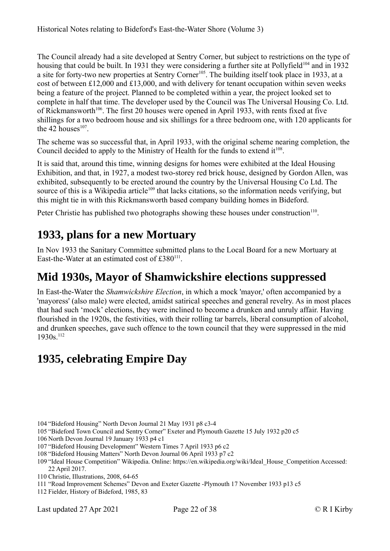The Council already had a site developed at Sentry Corner, but subject to restrictions on the type of housing that could be built. In 1931 they were considering a further site at Pollyfield<sup>[104](#page-21-3)</sup> and in 1932 a site for forty-two new properties at Sentry Corner<sup>[105](#page-21-4)</sup>. The building itself took place in 1933, at a cost of between £12,000 and £13,000, and with delivery for tenant occupation within seven weeks being a feature of the project. Planned to be completed within a year, the project looked set to complete in half that time. The developer used by the Council was The Universal Housing Co. Ltd. of Rickmansworth<sup>[106](#page-21-5)</sup>. The first 20 houses were opened in April 1933, with rents fixed at five shillings for a two bedroom house and six shillings for a three bedroom one, with 120 applicants for the 42 houses $^{107}$  $^{107}$  $^{107}$ .

The scheme was so successful that, in April 1933, with the original scheme nearing completion, the Council decided to apply to the Ministry of Health for the funds to extend  $it^{108}$  $it^{108}$  $it^{108}$ .

It is said that, around this time, winning designs for homes were exhibited at the Ideal Housing Exhibition, and that, in 1927, a modest two-storey red brick house, designed by Gordon Allen, was exhibited, subsequently to be erected around the country by the Universal Housing Co Ltd. The source of this is a Wikipedia article<sup>[109](#page-21-8)</sup> that lacks citations, so the information needs verifying, but this might tie in with this Rickmansworth based company building homes in Bideford.

Peter Christie has published two photographs showing these houses under construction<sup>[110](#page-21-9)</sup>.

## <span id="page-21-2"></span>**1933, plans for a new Mortuary**

In Nov 1933 the Sanitary Committee submitted plans to the Local Board for a new Mortuary at East-the-Water at an estimated cost of  $£380<sup>111</sup>$  $£380<sup>111</sup>$  $£380<sup>111</sup>$ .

#### <span id="page-21-1"></span>**Mid 1930s, Mayor of Shamwickshire elections suppressed**

In East-the-Water the *Shamwickshire Election*, in which a mock 'mayor,' often accompanied by a 'mayoress' (also male) were elected, amidst satirical speeches and general revelry. As in most places that had such 'mock' elections, they were inclined to become a drunken and unruly affair. Having flourished in the 1920s, the festivities, with their rolling tar barrels, liberal consumption of alcohol, and drunken speeches, gave such offence to the town council that they were suppressed in the mid 1930s.[112](#page-21-11)

## <span id="page-21-0"></span>**1935, celebrating Empire Day**

- <span id="page-21-3"></span>104 "Bideford Housing" North Devon Journal 21 May 1931 p8 c3-4
- <span id="page-21-4"></span>105 "Bideford Town Council and Sentry Corner" Exeter and Plymouth Gazette 15 July 1932 p20 c5

<span id="page-21-5"></span>106 North Devon Journal 19 January 1933 p4 c1

- <span id="page-21-6"></span>107 "Bideford Housing Development" Western Times 7 April 1933 p6 c2
- <span id="page-21-7"></span>108 "Bideford Housing Matters" North Devon Journal 06 April 1933 p7 c2
- <span id="page-21-8"></span>109 "Ideal House Competition" Wikipedia. Online: https://en.wikipedia.org/wiki/Ideal\_House\_Competition Accessed: 22 April 2017.
- <span id="page-21-9"></span>110 Christie, Illustrations, 2008, 64-65
- <span id="page-21-10"></span>111 "Road Improvement Schemes" Devon and Exeter Gazette -Plymouth 17 November 1933 p13 c5
- <span id="page-21-11"></span>112 Fielder, History of Bideford, 1985, 83

Last updated 27 Apr 2021 Page 22 of 38 © R I Kirby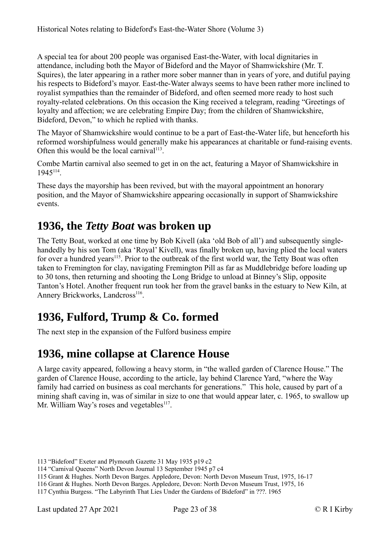A special tea for about 200 people was organised East-the-Water, with local dignitaries in attendance, including both the Mayor of Bideford and the Mayor of Shamwickshire (Mr. T. Squires), the later appearing in a rather more sober manner than in years of yore, and dutiful paying his respects to Bideford's mayor. East-the-Water always seems to have been rather more inclined to royalist sympathies than the remainder of Bideford, and often seemed more ready to host such royalty-related celebrations. On this occasion the King received a telegram, reading "Greetings of loyalty and affection; we are celebrating Empire Day; from the children of Shamwickshire, Bideford, Devon," to which he replied with thanks.

The Mayor of Shamwickshire would continue to be a part of East-the-Water life, but henceforth his reformed worshipfulness would generally make his appearances at charitable or fund-raising events. Often this would be the local carnival $113$ .

Combe Martin carnival also seemed to get in on the act, featuring a Mayor of Shamwickshire in 1945[114](#page-22-4) .

These days the mayorship has been revived, but with the mayoral appointment an honorary position, and the Mayor of Shamwickshire appearing occasionally in support of Shamwickshire events.

#### <span id="page-22-2"></span>**1936, the** *Tetty Boat* **was broken up**

The Tetty Boat, worked at one time by Bob Kivell (aka 'old Bob of all') and subsequently singlehandedly by his son Tom (aka 'Royal' Kivell), was finally broken up, having plied the local waters for over a hundred years<sup>[115](#page-22-5)</sup>. Prior to the outbreak of the first world war, the Tetty Boat was often taken to Fremington for clay, navigating Fremington Pill as far as Muddlebridge before loading up to 30 tons, then returning and shooting the Long Bridge to unload at Binney's Slip, opposite Tanton's Hotel. Another frequent run took her from the gravel banks in the estuary to New Kiln, at Annery Brickworks, Landcross<sup>[116](#page-22-6)</sup>.

## <span id="page-22-1"></span>**1936, Fulford, Trump & Co. formed**

The next step in the expansion of the Fulford business empire

## <span id="page-22-0"></span>**1936, mine collapse at Clarence House**

A large cavity appeared, following a heavy storm, in "the walled garden of Clarence House." The garden of Clarence House, according to the article, lay behind Clarence Yard, "where the Way family had carried on business as coal merchants for generations." This hole, caused by part of a mining shaft caving in, was of similar in size to one that would appear later, c. 1965, to swallow up Mr. William Way's roses and vegetables<sup>[117](#page-22-7)</sup>.

<span id="page-22-3"></span><sup>113</sup> "Bideford" Exeter and Plymouth Gazette 31 May 1935 p19 c2

<span id="page-22-4"></span><sup>114</sup> "Carnival Queens" North Devon Journal 13 September 1945 p7 c4

<span id="page-22-5"></span><sup>115</sup> Grant & Hughes. North Devon Barges. Appledore, Devon: North Devon Museum Trust, 1975, 16-17

<span id="page-22-6"></span><sup>116</sup> Grant & Hughes. North Devon Barges. Appledore, Devon: North Devon Museum Trust, 1975, 16

<span id="page-22-7"></span><sup>117</sup> Cynthia Burgess. "The Labyrinth That Lies Under the Gardens of Bideford" in ???. 1965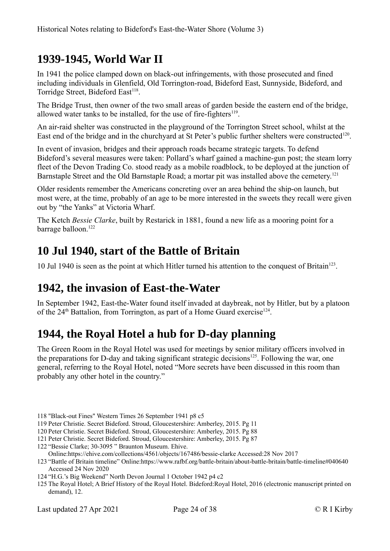## <span id="page-23-3"></span>**1939-1945, World War II**

In 1941 the police clamped down on black-out infringements, with those prosecuted and fined including individuals in Glenfield, Old Torrington-road, Bideford East, Sunnyside, Bideford, and Torridge Street, Bideford East<sup>[118](#page-23-4)</sup>.

The Bridge Trust, then owner of the two small areas of garden beside the eastern end of the bridge, allowed water tanks to be installed, for the use of fire-fighters<sup>[119](#page-23-5)</sup>.

An air-raid shelter was constructed in the playground of the Torrington Street school, whilst at the East end of the bridge and in the churchyard at St Peter's public further shelters were constructed<sup>[120](#page-23-6)</sup>.

In event of invasion, bridges and their approach roads became strategic targets. To defend Bideford's several measures were taken: Pollard's wharf gained a machine-gun post; the steam lorry fleet of the Devon Trading Co. stood ready as a mobile roadblock, to be deployed at the junction of Barnstaple Street and the Old Barnstaple Road; a mortar pit was installed above the cemetery.<sup>[121](#page-23-7)</sup>

Older residents remember the Americans concreting over an area behind the ship-on launch, but most were, at the time, probably of an age to be more interested in the sweets they recall were given out by "the Yanks" at Victoria Wharf.

The Ketch *Bessie Clarke*, built by Restarick in 1881, found a new life as a mooring point for a barrage balloon.<sup>[122](#page-23-8)</sup>

#### <span id="page-23-2"></span>**10 Jul 1940, start of the Battle of Britain**

10 Jul 1940 is seen as the point at which Hitler turned his attention to the conquest of Britain<sup>[123](#page-23-9)</sup>.

#### <span id="page-23-1"></span>**1942, the invasion of East-the-Water**

In September 1942, East-the-Water found itself invaded at daybreak, not by Hitler, but by a platoon of the  $24<sup>th</sup>$  Battalion, from Torrington, as part of a Home Guard exercise<sup>[124](#page-23-10)</sup>.

## <span id="page-23-0"></span>**1944, the Royal Hotel a hub for D-day planning**

The Green Room in the Royal Hotel was used for meetings by senior military officers involved in the preparations for D-day and taking significant strategic decisions<sup>[125](#page-23-11)</sup>. Following the war, one general, referring to the Royal Hotel, noted "More secrets have been discussed in this room than probably any other hotel in the country."

- <span id="page-23-4"></span>118 "Black-out Fines" Western Times 26 September 1941 p8 c5
- <span id="page-23-5"></span>119 Peter Christie. Secret Bideford. Stroud, Gloucestershire: Amberley, 2015. Pg 11
- <span id="page-23-6"></span>120Peter Christie. Secret Bideford. Stroud, Gloucestershire: Amberley, 2015. Pg 88
- <span id="page-23-7"></span>121Peter Christie. Secret Bideford. Stroud, Gloucestershire: Amberley, 2015. Pg 87
- <span id="page-23-8"></span>122 "Bessie Clarke; 30-3095 " Braunton Museum. Ehive.
- <span id="page-23-9"></span>Online:https://ehive.com/collections/4561/objects/167486/bessie-clarke Accessed:28 Nov 2017
- 123 "Battle of Britain timeline" Online:https://www.rafbf.org/battle-britain/about-battle-britain/battle-timeline#040640 Accessed 24 Nov 2020
- <span id="page-23-10"></span>124 "H.G.'s Big Weekend" North Devon Journal 1 October 1942 p4 c2
- <span id="page-23-11"></span>125 The Royal Hotel; A Brief History of the Royal Hotel. Bideford:Royal Hotel, 2016 (electronic manuscript printed on demand), 12.

Last updated 27 Apr 2021 Page 24 of 38 © R I Kirby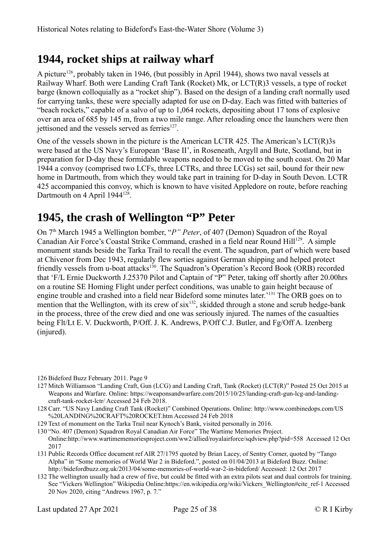# <span id="page-24-1"></span>**1944, rocket ships at railway wharf**

A picture<sup>[126](#page-24-2)</sup>, probably taken in 1946, (but possibly in April 1944), shows two naval vessels at Railway Wharf. Both were Landing Craft Tank (Rocket) Mk, or LCT(R)3 vessels, a type of rocket barge (known colloquially as a "rocket ship"). Based on the design of a landing craft normally used for carrying tanks, these were specially adapted for use on D-day. Each was fitted with batteries of "beach rockets," capable of a salvo of up to 1,064 rockets, depositing about 17 tons of explosive over an area of 685 by 145 m, from a two mile range. After reloading once the launchers were then jettisoned and the vessels served as ferries<sup>[127](#page-24-3)</sup>.

One of the vessels shown in the picture is the American LCTR 425. The American's LCT(R)3s were based at the US Navy's European 'Base II', in Roseneath, Argyll and Bute, Scotland, but in preparation for D-day these formidable weapons needed to be moved to the south coast. On 20 Mar 1944 a convoy (comprised two LCFs, three LCTRs, and three LCGs) set sail, bound for their new home in Dartmouth, from which they would take part in training for D-day in South Devon. LCTR 425 accompanied this convoy, which is known to have visited Appledore on route, before reaching Dartmouth on 4 April 1944<sup>[128](#page-24-4)</sup>.

#### <span id="page-24-0"></span>**1945, the crash of Wellington "P" Peter**

On 7<sup>th</sup> March 1945 a Wellington bomber, "*P*" Peter, of 407 (Demon) Squadron of the Royal Canadian Air Force's Coastal Strike Command, crashed in a field near Round Hill<sup>[129](#page-24-5)</sup>. A simple monument stands beside the Tarka Trail to recall the event. The squadron, part of which were based at Chivenor from Dec 1943, regularly flew sorties against German shipping and helped protect friendly vessels from u-boat attacks<sup>[130](#page-24-6)</sup>. The Squadron's Operation's Record Book (ORB) recorded that 'F/L Ernie Duckworth J.25370 Pilot and Captain of "P" Peter, taking off shortly after 20.00hrs on a routine SE Homing Flight under perfect conditions, was unable to gain height because of engine trouble and crashed into a field near Bideford some minutes later.'[131](#page-24-7) The ORB goes on to mention that the Wellington, with its crew of  $\sin^{132}$  $\sin^{132}$  $\sin^{132}$ , skidded through a stone and scrub hedge-bank in the process, three of the crew died and one was seriously injured. The names of the casualties being Flt/Lt E. V. Duckworth, P/Off. J. K. Andrews, P/Off C.J. Butler, and Fg/Off A. Izenberg (injured).

- <span id="page-24-3"></span>127 Mitch Williamson "Landing Craft, Gun (LCG) and Landing Craft, Tank (Rocket) (LCT(R)" Posted 25 Oct 2015 at Weapons and Warfare. Online: https://weaponsandwarfare.com/2015/10/25/landing-craft-gun-lcg-and-landingcraft-tank-rocket-lctr/ Accessed 24 Feb 2018.
- <span id="page-24-4"></span>128 Carr. "US Navy Landing Craft Tank (Rocket)" Combined Operations. Online: http://www.combinedops.com/US %20LANDING%20CRAFT%20ROCKET.htm Accessed 24 Feb 2018
- <span id="page-24-5"></span>129 Text of monument on the Tarka Trail near Kynoch's Bank, visited personally in 2016.

<span id="page-24-6"></span>130 "No. 407 (Demon) Squadron Royal Canadian Air Force" The Wartime Memories Project.

Online:http://www.wartimememoriesproject.com/ww2/allied/royalairforce/sqdview.php?pid=558 Accessed 12 Oct 2017

- <span id="page-24-7"></span>131Public Records Office document ref AIR 27/1795 quoted by Brian Lacey, of Sentry Corner, quoted by "Tango Alpha" in "Some memories of World War 2 in Bideford.", posted on 01/04/2013 at Bideford Buzz. Online: http://bidefordbuzz.org.uk/2013/04/some-memories-of-world-war-2-in-bideford/ Accessed: 12 Oct 2017
- <span id="page-24-8"></span>132 The wellington usually had a crew of five, but could be fitted with an extra pilots seat and dual controls for training. See "Vickers Wellington" Wikipedia Online:https://en.wikipedia.org/wiki/Vickers\_Wellington#cite\_ref-1 Accessed 20 Nov 2020, citing "Andrews 1967, p. 7."

<span id="page-24-2"></span><sup>126</sup> Bideford Buzz February 2011. Page 9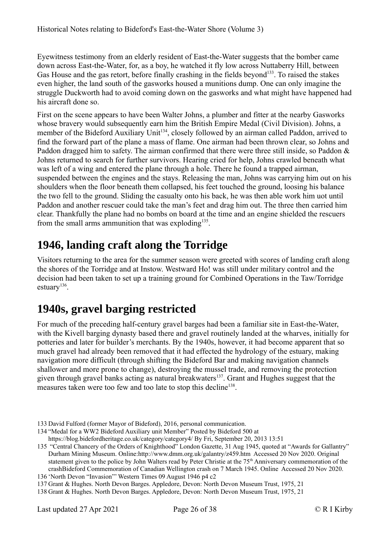Eyewitness testimony from an elderly resident of East-the-Water suggests that the bomber came down across East-the-Water, for, as a boy, he watched it fly low across Nuttaberry Hill, between Gas House and the gas retort, before finally crashing in the fields beyond<sup>[133](#page-25-2)</sup>. To raised the stakes even higher, the land south of the gasworks housed a munitions dump. One can only imagine the struggle Duckworth had to avoid coming down on the gasworks and what might have happened had his aircraft done so.

First on the scene appears to have been Walter Johns, a plumber and fitter at the nearby Gasworks whose bravery would subsequently earn him the British Empire Medal (Civil Division). Johns, a member of the Bideford Auxiliary Unit<sup>[134](#page-25-3)</sup>, closely followed by an airman called Paddon, arrived to find the forward part of the plane a mass of flame. One airman had been thrown clear, so Johns and Paddon dragged him to safety. The airman confirmed that there were three still inside, so Paddon & Johns returned to search for further survivors. Hearing cried for help, Johns crawled beneath what was left of a wing and entered the plane through a hole. There he found a trapped airman, suspended between the engines and the stays. Releasing the man, Johns was carrying him out on his shoulders when the floor beneath them collapsed, his feet touched the ground, loosing his balance the two fell to the ground. Sliding the casualty onto his back, he was then able work him uot until Paddon and another rescuer could take the man's feet and drag him out. The three then carried him clear. Thankfully the plane had no bombs on board at the time and an engine shielded the rescuers from the small arms ammunition that was exploding $^{135}$  $^{135}$  $^{135}$ .

## <span id="page-25-1"></span>**1946, landing craft along the Torridge**

Visitors returning to the area for the summer season were greeted with scores of landing craft along the shores of the Torridge and at Instow. Westward Ho! was still under military control and the decision had been taken to set up a training ground for Combined Operations in the Taw/Torridge estuary<sup>[136](#page-25-5)</sup>.

## <span id="page-25-0"></span>**1940s, gravel barging restricted**

For much of the preceding half-century gravel barges had been a familiar site in East-the-Water, with the Kivell barging dynasty based there and gravel routinely landed at the wharves, initially for potteries and later for builder's merchants. By the 1940s, however, it had become apparent that so much gravel had already been removed that it had effected the hydrology of the estuary, making navigation more difficult (through shifting the Bideford Bar and making navigation channels shallower and more prone to change), destroying the mussel trade, and removing the protection given through gravel banks acting as natural breakwaters<sup>[137](#page-25-6)</sup>. Grant and Hughes suggest that the measures taken were too few and too late to stop this decline<sup>[138](#page-25-7)</sup>.

<span id="page-25-2"></span><sup>133</sup> David Fulford (former Mayor of Bideford), 2016, personal communication.

<span id="page-25-3"></span><sup>134</sup> "Medal for a WW2 Bideford Auxiliary unit Member" Posted by Bideford 500 at

https://blog.bidefordheritage.co.uk/category/category4/ By Fri, September 20, 2013 13:51

<span id="page-25-4"></span><sup>135 &</sup>quot;Central Chancery of the Orders of Knighthood" London Gazette, 31 Aug 1945, quoted at "Awards for Gallantry" Durham Mining Museum. Online:http://www.dmm.org.uk/galantry/z459.htm Accessed 20 Nov 2020. Original statement given to the police by John Walters read by Peter Christie at the 75<sup>th</sup> Anniversary commemoration of the crashBideford Commemoration of Canadian Wellington crash on 7 March 1945. Online Accessed 20 Nov 2020.

<span id="page-25-5"></span><sup>136</sup> 'North Devon "Invasion"' Western Times 09 August 1946 p4 c2

<span id="page-25-6"></span><sup>137</sup> Grant & Hughes. North Devon Barges. Appledore, Devon: North Devon Museum Trust, 1975, 21

<span id="page-25-7"></span><sup>138</sup> Grant & Hughes. North Devon Barges. Appledore, Devon: North Devon Museum Trust, 1975, 21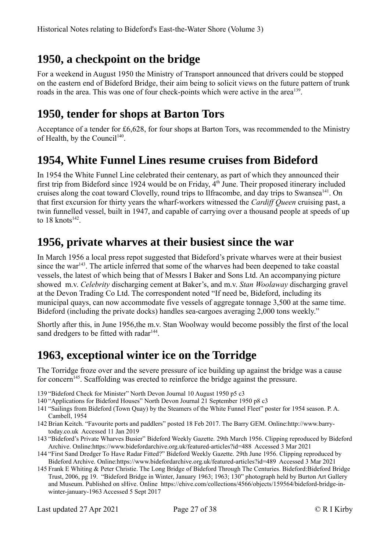# <span id="page-26-4"></span>**1950, a checkpoint on the bridge**

For a weekend in August 1950 the Ministry of Transport announced that drivers could be stopped on the eastern end of Bideford Bridge, their aim being to solicit views on the future pattern of trunk roads in the area. This was one of four check-points which were active in the area<sup>[139](#page-26-5)</sup>.

#### <span id="page-26-3"></span>**1950, tender for shops at Barton Tors**

Acceptance of a tender for £6,628, for four shops at Barton Tors, was recommended to the Ministry of Health, by the Council<sup>[140](#page-26-6)</sup>.

#### <span id="page-26-2"></span>**1954, White Funnel Lines resume cruises from Bideford**

In 1954 the White Funnel Line celebrated their centenary, as part of which they announced their first trip from Bideford since 1924 would be on Friday,  $4<sup>th</sup>$  June. Their proposed itinerary included cruises along the coat toward Clovelly, round trips to Ilfracombe, and day trips to Swansea<sup>[141](#page-26-7)</sup>. On that first excursion for thirty years the wharf-workers witnessed the *Cardiff Queen* cruising past, a twin funnelled vessel, built in 1947, and capable of carrying over a thousand people at speeds of up to  $18 \text{ knots}^{142}$  $18 \text{ knots}^{142}$  $18 \text{ knots}^{142}$ .

#### <span id="page-26-1"></span>**1956, private wharves at their busiest since the war**

In March 1956 a local press repot suggested that Bideford's private wharves were at their busiest since the war<sup>[143](#page-26-9)</sup>. The article inferred that some of the wharves had been deepened to take coastal vessels, the latest of which being that of Messrs I Baker and Sons Ltd. An accompanying picture showed m.v. *Celebrity* discharging cement at Baker's, and m.v. *Stan Woolaway* discharging gravel at the Devon Trading Co Ltd. The correspondent noted "If need be, Bideford, including its municipal quays, can now accommodate five vessels of aggregate tonnage 3,500 at the same time. Bideford (including the private docks) handles sea-cargoes averaging 2,000 tons weekly."

Shortly after this, in June 1956,the m.v. Stan Woolway would become possibly the first of the local sand dredgers to be fitted with radar<sup>[144](#page-26-10)</sup>.

## <span id="page-26-0"></span>**1963, exceptional winter ice on the Torridge**

The Torridge froze over and the severe pressure of ice building up against the bridge was a cause for concern<sup>[145](#page-26-11)</sup>. Scaffolding was erected to reinforce the bridge against the pressure.

- <span id="page-26-5"></span>139 "Bideford Check for Minister" North Devon Journal 10 August 1950 p5 c3
- <span id="page-26-6"></span>140 "Applications for Bideford Houses" North Devon Journal 21 September 1950 p8 c3
- <span id="page-26-7"></span>141 "Sailings from Bideford (Town Quay) by the Steamers of the White Funnel Fleet" poster for 1954 season. P. A. Cambell, 1954
- <span id="page-26-8"></span>142 Brian Keitch. "Favourite ports and paddlers" posted 18 Feb 2017. The Barry GEM. Online:http://www.barrytoday.co.uk Accessed 11 Jan 2019
- <span id="page-26-9"></span>143 "Bideford's Private Wharves Busier" Bideford Weekly Gazette. 29th March 1956. Clipping reproduced by Bideford Archive. Online:https://www.bidefordarchive.org.uk/featured-articles?id=488 Accessed 3 Mar 2021
- <span id="page-26-10"></span>144 "First Sand Dredger To Have Radar Fitted?" Bideford Weekly Gazette. 29th June 1956. Clipping reproduced by Bideford Archive. Online:https://www.bidefordarchive.org.uk/featured-articles?id=489 Accessed 3 Mar 2021
- <span id="page-26-11"></span>145Frank E Whiting & Peter Christie. The Long Bridge of Bideford Through The Centuries. Bideford:Bideford Bridge Trust, 2006, pg 19. "Bideford Bridge in Winter, January 1963; 1963; 130" photograph held by Burton Art Gallery and Museum. Published on sHive. Online https://ehive.com/collections/4566/objects/159564/bideford-bridge-inwinter-january-1963 Accessed 5 Sept 2017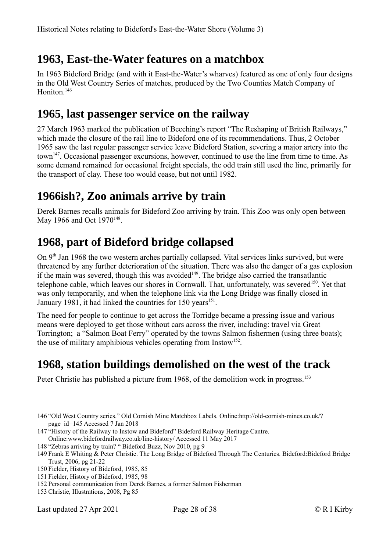#### <span id="page-27-4"></span>**1963, East-the-Water features on a matchbox**

In 1963 Bideford Bridge (and with it East-the-Water's wharves) featured as one of only four designs in the Old West Country Series of matches, produced by the Two Counties Match Company of Honiton.<sup>[146](#page-27-5)</sup>

#### <span id="page-27-3"></span>**1965, last passenger service on the railway**

27 March 1963 marked the publication of Beeching's report "The Reshaping of British Railways," which made the closure of the rail line to Bideford one of its recommendations. Thus, 2 October 1965 saw the last regular passenger service leave Bideford Station, severing a major artery into the town<sup>[147](#page-27-6)</sup>. Occasional passenger excursions, however, continued to use the line from time to time. As some demand remained for occasional freight specials, the odd train still used the line, primarily for the transport of clay. These too would cease, but not until 1982.

#### <span id="page-27-2"></span>**1966ish?, Zoo animals arrive by train**

Derek Barnes recalls animals for Bideford Zoo arriving by train. This Zoo was only open between May 1966 and Oct 1970<sup>[148](#page-27-7)</sup>.

# <span id="page-27-1"></span>**1968, part of Bideford bridge collapsed**

On 9<sup>th</sup> Jan 1968 the two western arches partially collapsed. Vital services links survived, but were threatened by any further deterioration of the situation. There was also the danger of a gas explosion if the main was severed, though this was avoided<sup> $149$ </sup>. The bridge also carried the transatlantic telephone cable, which leaves our shores in Cornwall. That, unfortunately, was severed<sup>[150](#page-27-9)</sup>. Yet that was only temporarily, and when the telephone link via the Long Bridge was finally closed in January 1981, it had linked the countries for 150 years<sup>[151](#page-27-10)</sup>.

The need for people to continue to get across the Torridge became a pressing issue and various means were deployed to get those without cars across the river, including: travel via Great Torrington; a "Salmon Boat Ferry" operated by the towns Salmon fishermen (using three boats); the use of military amphibious vehicles operating from Instow<sup>[152](#page-27-11)</sup>.

# <span id="page-27-0"></span>**1968, station buildings demolished on the west of the track**

Peter Christie has published a picture from 1968, of the demolition work in progress.<sup>[153](#page-27-12)</sup>

- <span id="page-27-5"></span>146 "Old West Country series." Old Cornish Mine Matchbox Labels. Online:http://old-cornish-mines.co.uk/? page\_id=145 Accessed 7 Jan 2018
- <span id="page-27-6"></span>147 "History of the Railway to Instow and Bideford" Bideford Railway Heritage Cantre.
- Online:www.bidefordrailway.co.uk/line-history/ Accessed 11 May 2017
- <span id="page-27-7"></span>148 "Zebras arriving by train? " Bideford Buzz, Nov 2010, pg 9
- <span id="page-27-8"></span>149Frank E Whiting & Peter Christie. The Long Bridge of Bideford Through The Centuries. Bideford:Bideford Bridge Trust, 2006, pg 21-22
- <span id="page-27-9"></span>150Fielder, History of Bideford, 1985, 85
- <span id="page-27-10"></span>151Fielder, History of Bideford, 1985, 98
- <span id="page-27-11"></span>152Personal communication from Derek Barnes, a former Salmon Fisherman
- <span id="page-27-12"></span>153 Christie, Illustrations, 2008, Pg 85

Last updated 27 Apr 2021 Page 28 of 38 © R I Kirby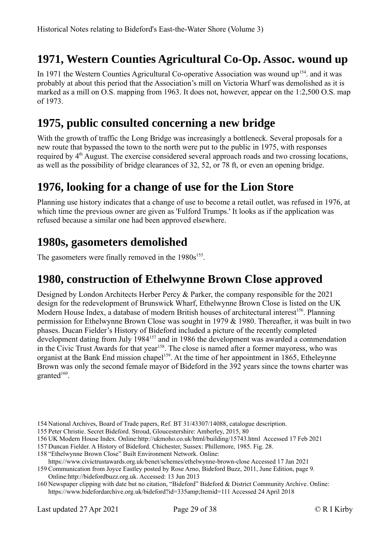# <span id="page-28-4"></span>**1971, Western Counties Agricultural Co-Op. Assoc. wound up**

In 1971 the Western Counties Agricultural Co-operative Association was wound up<sup>[154](#page-28-5)</sup> and it was probably at about this period that the Association's mill on Victoria Wharf was demolished as it is marked as a mill on O.S. mapping from 1963. It does not, however, appear on the 1:2,500 O.S. map of 1973.

#### <span id="page-28-3"></span>**1975, public consulted concerning a new bridge**

With the growth of traffic the Long Bridge was increasingly a bottleneck. Several proposals for a new route that bypassed the town to the north were put to the public in 1975, with responses required by 4<sup>th</sup> August. The exercise considered several approach roads and two crossing locations, as well as the possibility of bridge clearances of 32, 52, or 78 ft, or even an opening bridge.

#### <span id="page-28-2"></span>**1976, looking for a change of use for the Lion Store**

Planning use history indicates that a change of use to become a retail outlet, was refused in 1976, at which time the previous owner are given as 'Fulford Trumps.' It looks as if the application was refused because a similar one had been approved elsewhere.

#### <span id="page-28-1"></span>**1980s, gasometers demolished**

The gasometers were finally removed in the  $1980s^{155}$  $1980s^{155}$  $1980s^{155}$ .

#### <span id="page-28-0"></span>**1980, construction of Ethelwynne Brown Close approved**

Designed by London Architects Herber Percy & Parker, the company responsible for the 2021 design for the redevelopment of Brunswick Wharf, Ethelwynne Brown Close is listed on the UK Modern House Index, a database of modern British houses of architectural interest<sup>[156](#page-28-7)</sup>. Planning permission for Ethelwynne Brown Close was sought in 1979 & 1980. Thereafter, it was built in two phases. Ducan Fielder's History of Bideford included a picture of the recently completed development dating from July 1984<sup>[157](#page-28-8)</sup> and in 1986 the development was awarded a commendation in the Civic Trust Awards for that year<sup>[158](#page-28-9)</sup>. The close is named after a former mayoress, who was organist at the Bank End mission chapel<sup>[159](#page-28-10)</sup>. At the time of her appointment in 1865, Etheleynne Brown was only the second female mayor of Bideford in the 392 years since the towns charter was  $granted^{160}$  $granted^{160}$  $granted^{160}$ .

- <span id="page-28-5"></span>154 National Archives, Board of Trade papers, Ref. BT 31/43307/14088, catalogue description.
- <span id="page-28-6"></span>155Peter Christie. Secret Bideford. Stroud, Gloucestershire: Amberley, 2015, 80
- <span id="page-28-7"></span>156 UK Modern House Index. Online:http://ukmoho.co.uk/html/building/15743.html Accessed 17 Feb 2021
- <span id="page-28-8"></span>157 Duncan Fielder. A History of Bideford. Chichester, Sussex: Phillemore, 1985. Fig. 28.
- <span id="page-28-9"></span>158 "Ethelwynne Brown Close" Built Environment Network. Online:
- https://www.civictrustawards.org.uk/benet/schemes/ethelwynne-brown-close Accessed 17 Jan 2021
- <span id="page-28-10"></span>159 Communication from Joyce Eastley posted by Rose Arno, Bideford Buzz, 2011, June Edition, page 9. Online:http://bidefordbuzz.org.uk. Accessed: 13 Jun 2013
- <span id="page-28-11"></span>160 Newspaper clipping with date but no citation, "Bideford" Bideford & District Community Archive. Online: https://www.bidefordarchive.org.uk/bideford?id=335amp;Itemid=111 Accessed 24 April 2018

Last updated 27 Apr 2021 Page 29 of 38 © R I Kirby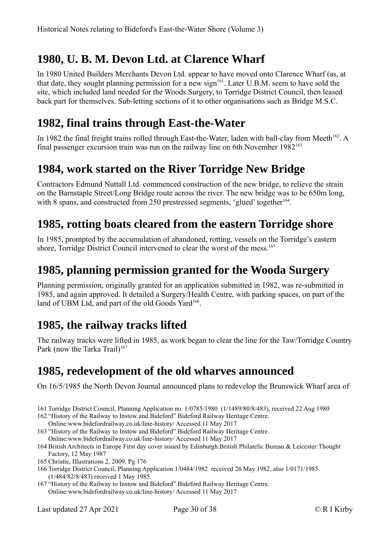## <span id="page-29-5"></span>**1980, U. B. M. Devon Ltd. at Clarence Wharf**

In 1980 United Builders Merchants Devon Ltd. appear to have moved onto Clarence Wharf (as, at that date, they sought planning permission for a new sign<sup>[161](#page-29-7)</sup>. Later U.B.M. seem to have sold the site, which included land needed for the Woods Surgery, to Torridge District Council, then leased back part for themselves. Sub-letting sections of it to other organisations such as Bridge M.S.C.

## <span id="page-29-4"></span>**1982, final trains through East-the-Water**

In 1982 the final freight trains rolled through East-the-Water, laden with ball-clay from Meeth<sup>[162](#page-29-8)</sup>. A final passenger excursion train was run on the railway line on 6th November 1982[163](#page-29-9)

## <span id="page-29-3"></span>**1984, work started on the River Torridge New Bridge**

Contractors Edmund Nuttall Ltd. commenced construction of the new bridge, to relieve the strain on the Barnstaple Street/Long Bridge route across the river. The new bridge was to be 650m long, with 8 spans, and constructed from 250 prestressed segments, 'glued' together<sup>[164](#page-29-10)</sup>.

## <span id="page-29-2"></span>**1985, rotting boats cleared from the eastern Torridge shore**

In 1985, prompted by the accumulation of abandoned, rotting, vessels on the Torridge's eastern shore, Torridge District Council intervened to clear the worst of the mess.<sup>[165](#page-29-11)</sup>

#### <span id="page-29-1"></span>**1985, planning permission granted for the Wooda Surgery**

Planning permission, originally granted for an application submitted in 1982, was re-submitted in 1985, and again approved. It detailed a Surgery/Health Centre, with parking spaces, on part of the land of UBM Ltd, and part of the old Goods Yard<sup>[166](#page-29-12)</sup>.

#### <span id="page-29-0"></span>**1985, the railway tracks lifted**

The railway tracks were lifted in 1985, as work began to clear the line for the Taw/Torridge Country Park (now the Tarka Trail)<sup>[167](#page-29-13)</sup>

#### <span id="page-29-6"></span>**1985, redevelopment of the old wharves announced**

On 16/5/1985 the North Devon Journal announced plans to redevelop the Brunswick Wharf area of

- <span id="page-29-7"></span>161 Torridge District Council, Planning Application no. 1/0785/1980 (1/1489/80/8/483), received 22 Aug 1980
- <span id="page-29-8"></span>162 "History of the Railway to Instow and Bideford" Bideford Railway Heritage Centre. Online:www.bidefordrailway.co.uk/line-history/ Accessed 11 May 2017
- <span id="page-29-9"></span>163 "History of the Railway to Instow and Bideford" Bideford Railway Heritage Centre.
	- Online:www.bidefordrailway.co.uk/line-history/ Accessed 11 May 2017
- <span id="page-29-10"></span>164 British Architects in Europe First day cover issued by Edinburgh:British Philatelic Bureau & Leicester:Thought Factory, 12 May 1987
- <span id="page-29-11"></span>165 Christie, Illustrations 2, 2009, Pg 176
- <span id="page-29-12"></span>166 Torridge District Council, Planning Application 1/0484/1982 received 26 May 1982, also 1/0171/1985 (1/484/82/8/483) received 1 May 1985.
- <span id="page-29-13"></span>167 "History of the Railway to Instow and Bideford" Bideford Railway Heritage Centre. Online:www.bidefordrailway.co.uk/line-history/ Accessed 11 May 2017

Last updated 27 Apr 2021 Page 30 of 38 © R I Kirby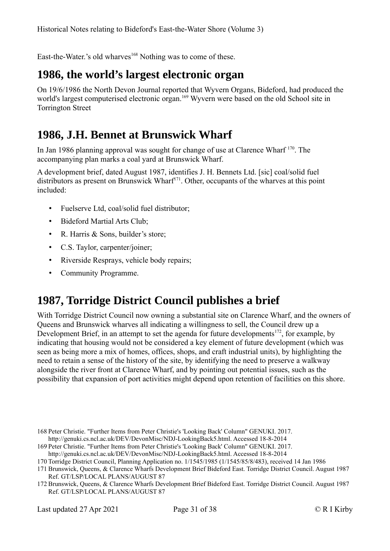East-the-Water.'s old wharves<sup>[168](#page-30-3)</sup> Nothing was to come of these.

## <span id="page-30-2"></span>**1986, the world's largest electronic organ**

On 19/6/1986 the North Devon Journal reported that Wyvern Organs, Bideford, had produced the world's largest computerised electronic organ.<sup>[169](#page-30-4)</sup> Wyvern were based on the old School site in Torrington Street

#### <span id="page-30-1"></span>**1986, J.H. Bennet at Brunswick Wharf**

In Jan 1986 planning approval was sought for change of use at Clarence Wharf [170](#page-30-5). The accompanying plan marks a coal yard at Brunswick Wharf.

A development brief, dated August 1987, identifies J. H. Bennets Ltd. [sic] coal/solid fuel distributors as present on Brunswick Wharf<sup>[171](#page-30-6)</sup>. Other, occupants of the wharves at this point included:

- Fuelserve Ltd, coal/solid fuel distributor;
- Bideford Martial Arts Club;
- R. Harris & Sons, builder's store;
- C.S. Taylor, carpenter/joiner;
- Riverside Resprays, vehicle body repairs;
- Community Programme.

# <span id="page-30-0"></span>**1987, Torridge District Council publishes a brief**

With Torridge District Council now owning a substantial site on Clarence Wharf, and the owners of Queens and Brunswick wharves all indicating a willingness to sell, the Council drew up a Development Brief, in an attempt to set the agenda for future developments<sup>[172](#page-30-7)</sup>, for example, by indicating that housing would not be considered a key element of future development (which was seen as being more a mix of homes, offices, shops, and craft industrial units), by highlighting the need to retain a sense of the history of the site, by identifying the need to preserve a walkway alongside the river front at Clarence Wharf, and by pointing out potential issues, such as the possibility that expansion of port activities might depend upon retention of facilities on this shore.

<span id="page-30-3"></span><sup>168</sup>Peter Christie. "Further Items from Peter Christie's 'Looking Back' Column" GENUKI. 2017. http://genuki.cs.ncl.ac.uk/DEV/DevonMisc/NDJ-LookingBack5.html. Accessed 18-8-2014

<span id="page-30-4"></span><sup>169</sup>Peter Christie. "Further Items from Peter Christie's 'Looking Back' Column" GENUKI. 2017. http://genuki.cs.ncl.ac.uk/DEV/DevonMisc/NDJ-LookingBack5.html. Accessed 18-8-2014

<span id="page-30-5"></span><sup>170</sup> Torridge District Council, Planning Application no. 1/1545/1985 (1/1545/85/8/483), received 14 Jan 1986

<span id="page-30-6"></span><sup>171</sup> Brunswick, Queens, & Clarence Wharfs Development Brief Bideford East. Torridge District Council. August 1987 Ref. GT/LSP/LOCAL PLANS/AUGUST 87

<span id="page-30-7"></span><sup>172</sup> Brunswick, Queens, & Clarence Wharfs Development Brief Bideford East. Torridge District Council. August 1987 Ref. GT/LSP/LOCAL PLANS/AUGUST 87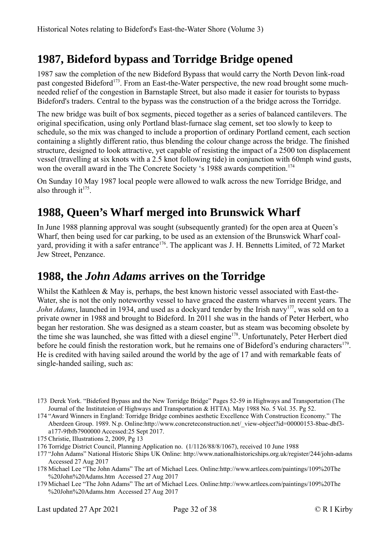# <span id="page-31-2"></span>**1987, Bideford bypass and Torridge Bridge opened**

1987 saw the completion of the new Bideford Bypass that would carry the North Devon link-road past congested Bideford<sup>[173](#page-31-3)</sup>. From an East-the-Water perspective, the new road brought some muchneeded relief of the congestion in Barnstaple Street, but also made it easier for tourists to bypass Bideford's traders. Central to the bypass was the construction of a the bridge across the Torridge.

The new bridge was built of box segments, pieced together as a series of balanced cantilevers. The original specification, using only Portland blast-furnace slag cement, set too slowly to keep to schedule, so the mix was changed to include a proportion of ordinary Portland cement, each section containing a slightly different ratio, thus blending the colour change across the bridge. The finished structure, designed to look attractive, yet capable of resisting the impact of a 2500 ton displacement vessel (travelling at six knots with a 2.5 knot following tide) in conjunction with 60mph wind gusts, won the overall award in the The Concrete Society 's 1988 awards competition.<sup>[174](#page-31-4)</sup>

On Sunday 10 May 1987 local people were allowed to walk across the new Torridge Bridge, and also through  $it^{175}$  $it^{175}$  $it^{175}$ .

# <span id="page-31-1"></span>**1988, Queen's Wharf merged into Brunswick Wharf**

In June 1988 planning approval was sought (subsequently granted) for the open area at Queen's Wharf, then being used for car parking, to be used as an extension of the Brunswick Wharf coal-yard, providing it with a safer entrance<sup>[176](#page-31-6)</sup>. The applicant was J. H. Bennetts Limited, of 72 Market Jew Street, Penzance.

#### <span id="page-31-0"></span>**1988, the** *John Adams* **arrives on the Torridge**

Whilst the Kathleen & May is, perhaps, the best known historic vessel associated with East-the-Water, she is not the only noteworthy vessel to have graced the eastern wharves in recent years. The *John Adams*, launched in 1934, and used as a dockyard tender by the Irish navy<sup>[177](#page-31-7)</sup>, was sold on to a private owner in 1988 and brought to Bideford. In 2011 she was in the hands of Peter Herbert, who began her restoration. She was designed as a steam coaster, but as steam was becoming obsolete by the time she was launched, she was fitted with a diesel engine<sup>[178](#page-31-8)</sup>. Unfortunately, Peter Herbert died before he could finish the restoration work, but he remains one of Bideford's enduring characters<sup>[179](#page-31-9)</sup>. He is credited with having sailed around the world by the age of 17 and with remarkable feats of single-handed sailing, such as:

- <span id="page-31-3"></span>173 Derek York. "Bideford Bypass and the New Torridge Bridge" Pages 52-59 in Highways and Transportation (The Journal of the Instituteion of Highways and Transportation & HTTA). May 1988 No. 5 Vol. 35. Pg 52.
- <span id="page-31-4"></span>174 "Award Winners in England: Torridge Bridge combines aesthetic Excellence With Construction Economy." The Aberdeen Group. 1989. N.p. Online:http://www.concreteconstruction.net/\_view-object?id=00000153-8bae-dbf3 a177-9fbfb7900000 Accessed:25 Sept 2017.
- <span id="page-31-5"></span>175 Christie, Illustrations 2, 2009, Pg 13
- <span id="page-31-6"></span>176 Torridge District Council, Planning Application no. (1/1126/88/8/1067), received 10 June 1988

<span id="page-31-7"></span>177 "John Adams" National Historic Ships UK Online: http://www.nationalhistoricships.org.uk/register/244/john-adams Accessed 27 Aug 2017

- <span id="page-31-8"></span>178 Michael Lee "The John Adams" The art of Michael Lees. Online:http://www.artlees.com/paintings/109%20The %20John%20Adams.htm Accessed 27 Aug 2017
- <span id="page-31-9"></span>179 Michael Lee "The John Adams" The art of Michael Lees. Online:http://www.artlees.com/paintings/109%20The %20John%20Adams.htm Accessed 27 Aug 2017

Last updated 27 Apr 2021 Page 32 of 38 © R I Kirby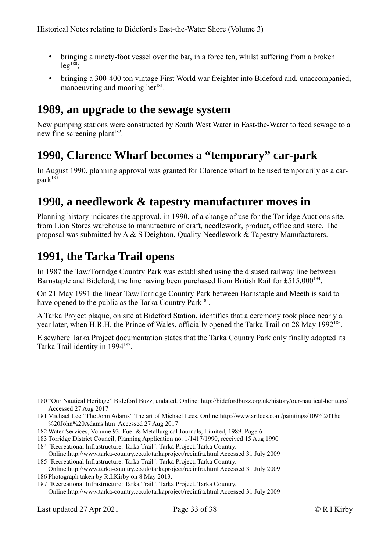- bringing a ninety-foot vessel over the bar, in a force ten, whilst suffering from a broken  $leg^{180}$  $leg^{180}$  $leg^{180}$ ;
- bringing a 300-400 ton vintage First World war freighter into Bideford and, unaccompanied, manoeuvring and mooring her<sup>[181](#page-32-5)</sup>.

#### <span id="page-32-3"></span>**1989, an upgrade to the sewage system**

New pumping stations were constructed by South West Water in East-the-Water to feed sewage to a new fine screening plant<sup>[182](#page-32-6)</sup>.

#### <span id="page-32-2"></span>**1990, Clarence Wharf becomes a "temporary" car-park**

In August 1990, planning approval was granted for Clarence wharf to be used temporarily as a car- $park<sup>183</sup>$  $park<sup>183</sup>$  $park<sup>183</sup>$ 

#### <span id="page-32-1"></span>**1990, a needlework & tapestry manufacturer moves in**

Planning history indicates the approval, in 1990, of a change of use for the Torridge Auctions site, from Lion Stores warehouse to manufacture of craft, needlework, product, office and store. The proposal was submitted by  $A \& S$  Deighton, Quality Needlework  $\&$  Tapestry Manufacturers.

#### <span id="page-32-0"></span>**1991, the Tarka Trail opens**

In 1987 the Taw/Torridge Country Park was established using the disused railway line between Barnstaple and Bideford, the line having been purchased from British Rail for £515,000<sup>[184](#page-32-8)</sup>.

On 21 May 1991 the linear Taw/Torridge Country Park between Barnstaple and Meeth is said to have opened to the public as the Tarka Country Park<sup>[185](#page-32-9)</sup>.

A Tarka Project plaque, on site at Bideford Station, identifies that a ceremony took place nearly a year later, when H.R.H. the Prince of Wales, officially opened the Tarka Trail on 28 May 1992<sup>[186](#page-32-10)</sup>.

Elsewhere Tarka Project documentation states that the Tarka Country Park only finally adopted its Tarka Trail identity in 1994<sup>[187](#page-32-11)</sup>.

- <span id="page-32-5"></span>181 Michael Lee "The John Adams" The art of Michael Lees. Online:http://www.artlees.com/paintings/109%20The %20John%20Adams.htm Accessed 27 Aug 2017
- <span id="page-32-6"></span>182 Water Services, Volume 93. Fuel & Metallurgical Journals, Limited, 1989. Page 6.
- <span id="page-32-7"></span>183 Torridge District Council, Planning Application no. 1/1417/1990, received 15 Aug 1990
- <span id="page-32-8"></span>184 "Recreational Infrastructure: Tarka Trail". Tarka Project. Tarka Country.

<span id="page-32-9"></span>Online:http://www.tarka-country.co.uk/tarkaproject/recinfra.html Accessed 31 July 2009 185 "Recreational Infrastructure: Tarka Trail". Tarka Project. Tarka Country.

<span id="page-32-4"></span><sup>180</sup> "Our Nautical Heritage" Bideford Buzz, undated. Online: http://bidefordbuzz.org.uk/history/our-nautical-heritage/ Accessed 27 Aug 2017

<span id="page-32-10"></span>Online:http://www.tarka-country.co.uk/tarkaproject/recinfra.html Accessed 31 July 2009 186Photograph taken by R.I.Kirby on 8 May 2013.

<span id="page-32-11"></span><sup>187</sup> "Recreational Infrastructure: Tarka Trail". Tarka Project. Tarka Country. Online:http://www.tarka-country.co.uk/tarkaproject/recinfra.html Accessed 31 July 2009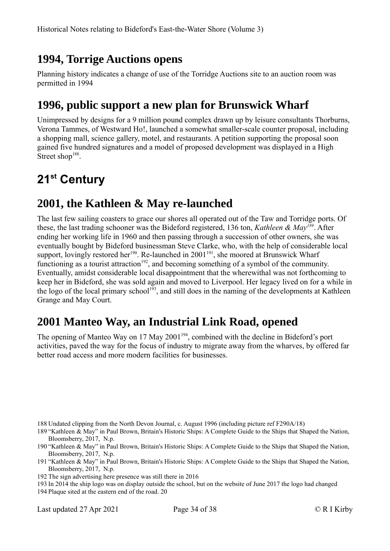## <span id="page-33-4"></span>**1994, Torrige Auctions opens**

Planning history indicates a change of use of the Torridge Auctions site to an auction room was permitted in 1994

## <span id="page-33-3"></span>**1996, public support a new plan for Brunswick Wharf**

Unimpressed by designs for a 9 million pound complex drawn up by leisure consultants Thorburns, Verona Tammes, of Westward Ho!, launched a somewhat smaller-scale counter proposal, including a shopping mall, science gallery, motel, and restaurants. A petition supporting the proposal soon gained five hundred signatures and a model of proposed development was displayed in a High Street shop<sup>[188](#page-33-5)</sup>.

# <span id="page-33-2"></span>**21st Century**

#### <span id="page-33-1"></span>**2001, the Kathleen & May re-launched**

The last few sailing coasters to grace our shores all operated out of the Taw and Torridge ports. Of these, the last trading schooner was the Bideford registered, 136 ton, *Kathleen & May[189](#page-33-6)*. After ending her working life in 1960 and then passing through a succession of other owners, she was eventually bought by Bideford businessman Steve Clarke, who, with the help of considerable local support, lovingly restored her<sup>[190](#page-33-7)</sup>. Re-launched in 2001<sup>[191](#page-33-8)</sup>, she moored at Brunswick Wharf functioning as a tourist attraction<sup>[192](#page-33-9)</sup>, and becoming something of a symbol of the community. Eventually, amidst considerable local disappointment that the wherewithal was not forthcoming to keep her in Bideford, she was sold again and moved to Liverpool. Her legacy lived on for a while in the logo of the local primary school<sup>[193](#page-33-10)</sup>, and still does in the naming of the developments at Kathleen Grange and May Court.

## <span id="page-33-0"></span>**2001 Manteo Way, an Industrial Link Road, opened**

The opening of Manteo Way on 17 May 2001<sup>[194](#page-33-11)</sup>, combined with the decline in Bideford's port activities, paved the way for the focus of industry to migrate away from the wharves, by offered far better road access and more modern facilities for businesses.

- <span id="page-33-5"></span>188 Undated clipping from the North Devon Journal, c. August 1996 (including picture ref F290A/18)
- <span id="page-33-6"></span>189 "Kathleen & May" in Paul Brown, Britain's Historic Ships: A Complete Guide to the Ships that Shaped the Nation, Bloomsberry, 2017, N.p.
- <span id="page-33-7"></span>190 "Kathleen & May" in Paul Brown, Britain's Historic Ships: A Complete Guide to the Ships that Shaped the Nation, Bloomsberry, 2017, N.p.
- <span id="page-33-8"></span>191 "Kathleen & May" in Paul Brown, Britain's Historic Ships: A Complete Guide to the Ships that Shaped the Nation, Bloomsberry, 2017, N.p.
- <span id="page-33-9"></span>192 The sign advertising here presence was still there in 2016
- <span id="page-33-10"></span>193 In 2014 the ship logo was on display outside the school, but on the website of June 2017 the logo had changed
- <span id="page-33-11"></span>194Plaque sited at the eastern end of the road. 20

Last updated 27 Apr 2021 Page 34 of 38 © R I Kirby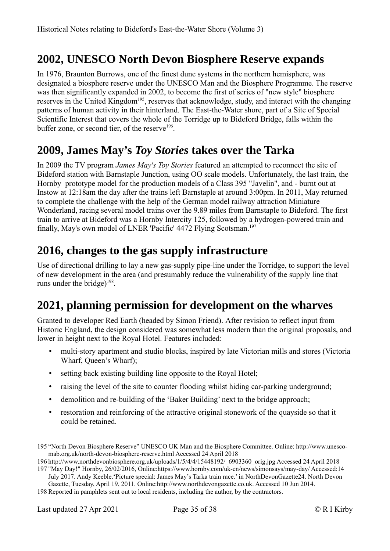#### <span id="page-34-3"></span>**2002, UNESCO North Devon Biosphere Reserve expands**

In 1976, Braunton Burrows, one of the finest dune systems in the northern hemisphere, was designated a biosphere reserve under the UNESCO Man and the Biosphere Programme. The reserve was then significantly expanded in 2002, to become the first of series of "new style" biosphere reserves in the United Kingdom<sup>[195](#page-34-4)</sup>, reserves that acknowledge, study, and interact with the changing patterns of human activity in their hinterland. The East-the-Water shore, part of a Site of Special Scientific Interest that covers the whole of the Torridge up to Bideford Bridge, falls within the buffer zone, or second tier, of the reserve<sup>[196](#page-34-5)</sup>.

#### <span id="page-34-2"></span>**2009, James May's** *Toy Stories* **takes over the Tarka**

In 2009 the TV program *James May's Toy Stories* featured an attempted to reconnect the site of Bideford station with Barnstaple Junction, using OO scale models. Unfortunately, the last train, the Hornby prototype model for the production models of a Class 395 "Javelin", and - burnt out at Instow at 12:18am the day after the trains left Barnstaple at around 3:00pm. In 2011, May returned to complete the challenge with the help of the German model railway attraction Miniature Wonderland, racing several model trains over the 9.89 miles from Barnstaple to Bideford. The first train to arrive at Bideford was a Hornby Intercity 125, followed by a hydrogen-powered train and finally, May's own model of LNER 'Pacific' 4472 Flying Scotsman.<sup>[197](#page-34-6)</sup>

#### <span id="page-34-1"></span>**2016, changes to the gas supply infrastructure**

Use of directional drilling to lay a new gas-supply pipe-line under the Torridge, to support the level of new development in the area (and presumably reduce the vulnerability of the supply line that runs under the bridge) $198$ .

# <span id="page-34-0"></span>**2021, planning permission for development on the wharves**

Granted to developer Red Earth (headed by Simon Friend). After revision to reflect input from Historic England, the design considered was somewhat less modern than the original proposals, and lower in height next to the Royal Hotel. Features included:

- multi-story apartment and studio blocks, inspired by late Victorian mills and stores (Victoria Wharf, Queen's Wharf);
- setting back existing building line opposite to the Royal Hotel;
- raising the level of the site to counter flooding whilst hiding car-parking underground;
- demolition and re-building of the 'Baker Building' next to the bridge approach;
- restoration and reinforcing of the attractive original stonework of the quayside so that it could be retained.

<span id="page-34-4"></span><sup>195</sup> "North Devon Biosphere Reserve" UNESCO UK Man and the Biosphere Committee. Online: http://www.unescomab.org.uk/north-devon-biosphere-reserve.html Accessed 24 April 2018

<span id="page-34-5"></span><sup>196</sup> http://www.northdevonbiosphere.org.uk/uploads/1/5/4/4/15448192/\_6903360\_orig.jpg Accessed 24 April 2018 197 "May Day!" Hornby, 26/02/2016, Online:https://www.hornby.com/uk-en/news/simonsays/may-day/ Accessed:14

<span id="page-34-6"></span>July 2017. Andy Keeble.'Picture special: James May's Tarka train race.' in NorthDevonGazette24. North Devon Gazette, Tuesday, April 19, 2011. Online:http://www.northdevongazette.co.uk. Accessed 10 Jun 2014.

<span id="page-34-7"></span><sup>198</sup> Reported in pamphlets sent out to local residents, including the author, by the contractors.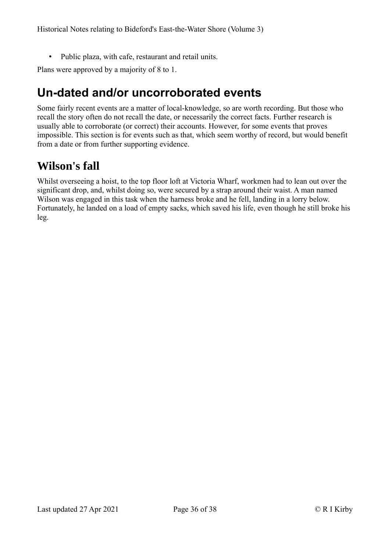• Public plaza, with cafe, restaurant and retail units.

Plans were approved by a majority of 8 to 1.

# <span id="page-35-1"></span>**Un-dated and/or uncorroborated events**

Some fairly recent events are a matter of local-knowledge, so are worth recording. But those who recall the story often do not recall the date, or necessarily the correct facts. Further research is usually able to corroborate (or correct) their accounts. However, for some events that proves impossible. This section is for events such as that, which seem worthy of record, but would benefit from a date or from further supporting evidence.

#### <span id="page-35-0"></span>**Wilson's fall**

Whilst overseeing a hoist, to the top floor loft at Victoria Wharf, workmen had to lean out over the significant drop, and, whilst doing so, were secured by a strap around their waist. A man named Wilson was engaged in this task when the harness broke and he fell, landing in a lorry below. Fortunately, he landed on a load of empty sacks, which saved his life, even though he still broke his leg.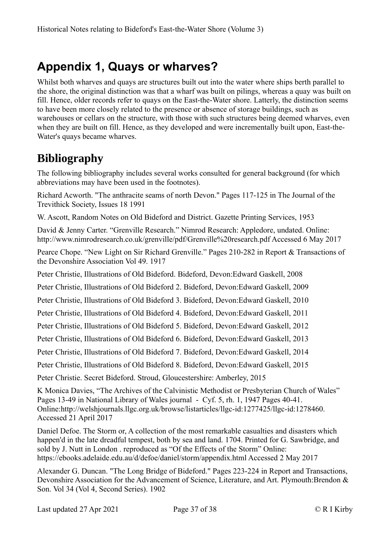# <span id="page-36-1"></span>**Appendix 1, Quays or wharves?**

Whilst both wharves and quays are structures built out into the water where ships berth parallel to the shore, the original distinction was that a wharf was built on pilings, whereas a quay was built on fill. Hence, older records refer to quays on the East-the-Water shore. Latterly, the distinction seems to have been more closely related to the presence or absence of storage buildings, such as warehouses or cellars on the structure, with those with such structures being deemed wharves, even when they are built on fill. Hence, as they developed and were incrementally built upon, East-the-Water's quays became wharves.

# <span id="page-36-0"></span>**Bibliography**

The following bibliography includes several works consulted for general background (for which abbreviations may have been used in the footnotes).

Richard Acworth. "The anthracite seams of north Devon." Pages 117-125 in The Journal of the Trevithick Society, Issues 18 1991

W. Ascott, Random Notes on Old Bideford and District. Gazette Printing Services, 1953

David & Jenny Carter. "Grenville Research." Nimrod Research: Appledore, undated. Online: http://www.nimrodresearch.co.uk/grenville/pdf/Grenville%20research.pdf Accessed 6 May 2017

Pearce Chope. "New Light on Sir Richard Grenville." Pages 210-282 in Report & Transactions of the Devonshire Association Vol 49. 1917

Peter Christie, Illustrations of Old Bideford. Bideford, Devon:Edward Gaskell, 2008

Peter Christie, Illustrations of Old Bideford 2. Bideford, Devon:Edward Gaskell, 2009

Peter Christie, Illustrations of Old Bideford 3. Bideford, Devon:Edward Gaskell, 2010

Peter Christie, Illustrations of Old Bideford 4. Bideford, Devon:Edward Gaskell, 2011

Peter Christie, Illustrations of Old Bideford 5. Bideford, Devon:Edward Gaskell, 2012

Peter Christie, Illustrations of Old Bideford 6. Bideford, Devon:Edward Gaskell, 2013

Peter Christie, Illustrations of Old Bideford 7. Bideford, Devon:Edward Gaskell, 2014

Peter Christie, Illustrations of Old Bideford 8. Bideford, Devon:Edward Gaskell, 2015

Peter Christie. Secret Bideford. Stroud, Gloucestershire: Amberley, 2015

K Monica Davies, "The Archives of the Calvinistic Methodist or Presbyterian Church of Wales" Pages 13-49 in National Library of Wales journal - Cyf. 5, rh. 1, 1947 Pages 40-41. Online:http://welshjournals.llgc.org.uk/browse/listarticles/llgc-id:1277425/llgc-id:1278460. Accessed 21 April 2017

Daniel Defoe. The Storm or, A collection of the most remarkable casualties and disasters which happen'd in the late dreadful tempest, both by sea and land. 1704. Printed for G. Sawbridge, and sold by J. Nutt in London . reproduced as "Of the Effects of the Storm" Online: https://ebooks.adelaide.edu.au/d/defoe/daniel/storm/appendix.html Accessed 2 May 2017

Alexander G. Duncan. "The Long Bridge of Bideford." Pages 223-224 in Report and Transactions, Devonshire Association for the Advancement of Science, Literature, and Art. Plymouth:Brendon & Son. Vol 34 (Vol 4, Second Series). 1902